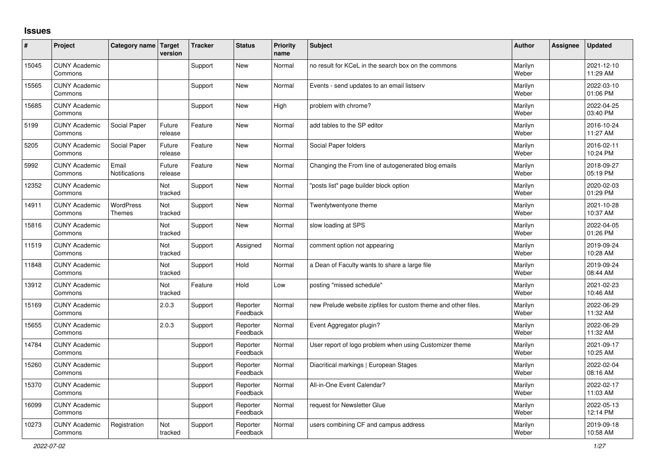## **Issues**

| #     | Project                         | Category name Target              | version               | <b>Tracker</b> | <b>Status</b>        | <b>Priority</b><br>name | <b>Subject</b>                                                 | <b>Author</b>    | Assignee | <b>Updated</b>         |
|-------|---------------------------------|-----------------------------------|-----------------------|----------------|----------------------|-------------------------|----------------------------------------------------------------|------------------|----------|------------------------|
| 15045 | <b>CUNY Academic</b><br>Commons |                                   |                       | Support        | <b>New</b>           | Normal                  | no result for KCeL in the search box on the commons            | Marilyn<br>Weber |          | 2021-12-10<br>11:29 AM |
| 15565 | <b>CUNY Academic</b><br>Commons |                                   |                       | Support        | <b>New</b>           | Normal                  | Events - send updates to an email listserv                     | Marilyn<br>Weber |          | 2022-03-10<br>01:06 PM |
| 15685 | <b>CUNY Academic</b><br>Commons |                                   |                       | Support        | <b>New</b>           | High                    | problem with chrome?                                           | Marilyn<br>Weber |          | 2022-04-25<br>03:40 PM |
| 5199  | <b>CUNY Academic</b><br>Commons | Social Paper                      | Future<br>release     | Feature        | <b>New</b>           | Normal                  | add tables to the SP editor                                    | Marilyn<br>Weber |          | 2016-10-24<br>11:27 AM |
| 5205  | <b>CUNY Academic</b><br>Commons | Social Paper                      | Future<br>release     | Feature        | <b>New</b>           | Normal                  | Social Paper folders                                           | Marilyn<br>Weber |          | 2016-02-11<br>10:24 PM |
| 5992  | <b>CUNY Academic</b><br>Commons | Email<br>Notifications            | Future<br>release     | Feature        | <b>New</b>           | Normal                  | Changing the From line of autogenerated blog emails            | Marilyn<br>Weber |          | 2018-09-27<br>05:19 PM |
| 12352 | <b>CUNY Academic</b><br>Commons |                                   | Not<br>tracked        | Support        | <b>New</b>           | Normal                  | 'posts list" page builder block option                         | Marilyn<br>Weber |          | 2020-02-03<br>01:29 PM |
| 14911 | <b>CUNY Academic</b><br>Commons | <b>WordPress</b><br><b>Themes</b> | Not<br>tracked        | Support        | <b>New</b>           | Normal                  | Twentytwentyone theme                                          | Marilyn<br>Weber |          | 2021-10-28<br>10:37 AM |
| 15816 | <b>CUNY Academic</b><br>Commons |                                   | Not<br>tracked        | Support        | <b>New</b>           | Normal                  | slow loading at SPS                                            | Marilyn<br>Weber |          | 2022-04-05<br>01:26 PM |
| 11519 | <b>CUNY Academic</b><br>Commons |                                   | Not<br>tracked        | Support        | Assigned             | Normal                  | comment option not appearing                                   | Marilyn<br>Weber |          | 2019-09-24<br>10:28 AM |
| 11848 | <b>CUNY Academic</b><br>Commons |                                   | Not<br>tracked        | Support        | Hold                 | Normal                  | a Dean of Faculty wants to share a large file                  | Marilyn<br>Weber |          | 2019-09-24<br>08:44 AM |
| 13912 | <b>CUNY Academic</b><br>Commons |                                   | <b>Not</b><br>tracked | Feature        | Hold                 | Low                     | posting "missed schedule"                                      | Marilyn<br>Weber |          | 2021-02-23<br>10:46 AM |
| 15169 | <b>CUNY Academic</b><br>Commons |                                   | 2.0.3                 | Support        | Reporter<br>Feedback | Normal                  | new Prelude website zipfiles for custom theme and other files. | Marilyn<br>Weber |          | 2022-06-29<br>11:32 AM |
| 15655 | <b>CUNY Academic</b><br>Commons |                                   | 2.0.3                 | Support        | Reporter<br>Feedback | Normal                  | Event Aggregator plugin?                                       | Marilyn<br>Weber |          | 2022-06-29<br>11:32 AM |
| 14784 | <b>CUNY Academic</b><br>Commons |                                   |                       | Support        | Reporter<br>Feedback | Normal                  | User report of logo problem when using Customizer theme        | Marilyn<br>Weber |          | 2021-09-17<br>10:25 AM |
| 15260 | <b>CUNY Academic</b><br>Commons |                                   |                       | Support        | Reporter<br>Feedback | Normal                  | Diacritical markings   European Stages                         | Marilyn<br>Weber |          | 2022-02-04<br>08:16 AM |
| 15370 | <b>CUNY Academic</b><br>Commons |                                   |                       | Support        | Reporter<br>Feedback | Normal                  | All-in-One Event Calendar?                                     | Marilyn<br>Weber |          | 2022-02-17<br>11:03 AM |
| 16099 | <b>CUNY Academic</b><br>Commons |                                   |                       | Support        | Reporter<br>Feedback | Normal                  | request for Newsletter Glue                                    | Marilyn<br>Weber |          | 2022-05-13<br>12:14 PM |
| 10273 | <b>CUNY Academic</b><br>Commons | Registration                      | Not<br>tracked        | Support        | Reporter<br>Feedback | Normal                  | users combining CF and campus address                          | Marilyn<br>Weber |          | 2019-09-18<br>10:58 AM |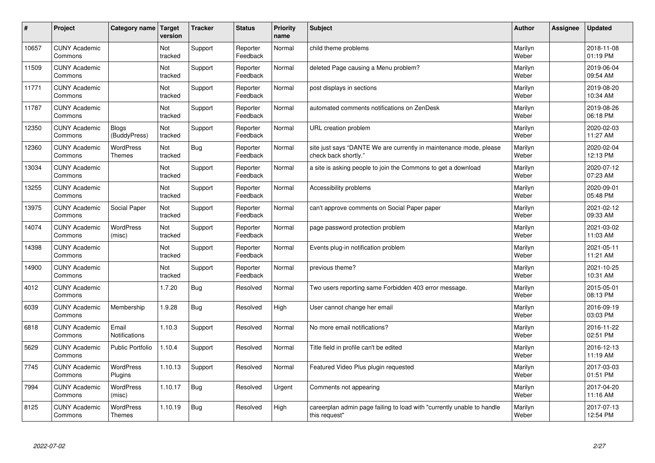| #     | Project                         | Category name                     | <b>Target</b><br>version | <b>Tracker</b> | <b>Status</b>        | <b>Priority</b><br>name | <b>Subject</b>                                                                             | <b>Author</b>    | Assignee | <b>Updated</b>         |
|-------|---------------------------------|-----------------------------------|--------------------------|----------------|----------------------|-------------------------|--------------------------------------------------------------------------------------------|------------------|----------|------------------------|
| 10657 | <b>CUNY Academic</b><br>Commons |                                   | Not<br>tracked           | Support        | Reporter<br>Feedback | Normal                  | child theme problems                                                                       | Marilyn<br>Weber |          | 2018-11-08<br>01:19 PM |
| 11509 | <b>CUNY Academic</b><br>Commons |                                   | Not<br>tracked           | Support        | Reporter<br>Feedback | Normal                  | deleted Page causing a Menu problem?                                                       | Marilyn<br>Weber |          | 2019-06-04<br>09:54 AM |
| 11771 | <b>CUNY Academic</b><br>Commons |                                   | Not<br>tracked           | Support        | Reporter<br>Feedback | Normal                  | post displays in sections                                                                  | Marilyn<br>Weber |          | 2019-08-20<br>10:34 AM |
| 11787 | <b>CUNY Academic</b><br>Commons |                                   | Not<br>tracked           | Support        | Reporter<br>Feedback | Normal                  | automated comments notifications on ZenDesk                                                | Marilyn<br>Weber |          | 2019-08-26<br>06:18 PM |
| 12350 | <b>CUNY Academic</b><br>Commons | Blogs<br>(BuddyPress)             | Not<br>tracked           | Support        | Reporter<br>Feedback | Normal                  | URL creation problem                                                                       | Marilyn<br>Weber |          | 2020-02-03<br>11:27 AM |
| 12360 | <b>CUNY Academic</b><br>Commons | <b>WordPress</b><br>Themes        | Not<br>tracked           | <b>Bug</b>     | Reporter<br>Feedback | Normal                  | site just says "DANTE We are currently in maintenance mode, please<br>check back shortly." | Marilyn<br>Weber |          | 2020-02-04<br>12:13 PM |
| 13034 | <b>CUNY Academic</b><br>Commons |                                   | Not<br>tracked           | Support        | Reporter<br>Feedback | Normal                  | a site is asking people to join the Commons to get a download                              | Marilyn<br>Weber |          | 2020-07-12<br>07:23 AM |
| 13255 | <b>CUNY Academic</b><br>Commons |                                   | Not<br>tracked           | Support        | Reporter<br>Feedback | Normal                  | Accessibility problems                                                                     | Marilyn<br>Weber |          | 2020-09-01<br>05:48 PM |
| 13975 | <b>CUNY Academic</b><br>Commons | Social Paper                      | Not<br>tracked           | Support        | Reporter<br>Feedback | Normal                  | can't approve comments on Social Paper paper                                               | Marilyn<br>Weber |          | 2021-02-12<br>09:33 AM |
| 14074 | <b>CUNY Academic</b><br>Commons | <b>WordPress</b><br>(misc)        | Not<br>tracked           | Support        | Reporter<br>Feedback | Normal                  | page password protection problem                                                           | Marilyn<br>Weber |          | 2021-03-02<br>11:03 AM |
| 14398 | <b>CUNY Academic</b><br>Commons |                                   | Not<br>tracked           | Support        | Reporter<br>Feedback | Normal                  | Events plug-in notification problem                                                        | Marilyn<br>Weber |          | 2021-05-11<br>11:21 AM |
| 14900 | <b>CUNY Academic</b><br>Commons |                                   | Not<br>tracked           | Support        | Reporter<br>Feedback | Normal                  | previous theme?                                                                            | Marilyn<br>Weber |          | 2021-10-25<br>10:31 AM |
| 4012  | <b>CUNY Academic</b><br>Commons |                                   | 1.7.20                   | <b>Bug</b>     | Resolved             | Normal                  | Two users reporting same Forbidden 403 error message.                                      | Marilyn<br>Weber |          | 2015-05-01<br>08:13 PM |
| 6039  | <b>CUNY Academic</b><br>Commons | Membership                        | 1.9.28                   | <b>Bug</b>     | Resolved             | High                    | User cannot change her email                                                               | Marilyn<br>Weber |          | 2016-09-19<br>03:03 PM |
| 6818  | <b>CUNY Academic</b><br>Commons | Email<br>Notifications            | 1.10.3                   | Support        | Resolved             | Normal                  | No more email notifications?                                                               | Marilyn<br>Weber |          | 2016-11-22<br>02:51 PM |
| 5629  | <b>CUNY Academic</b><br>Commons | <b>Public Portfolio</b>           | 1.10.4                   | Support        | Resolved             | Normal                  | Title field in profile can't be edited                                                     | Marilyn<br>Weber |          | 2016-12-13<br>11:19 AM |
| 7745  | <b>CUNY Academic</b><br>Commons | WordPress<br>Plugins              | 1.10.13                  | Support        | Resolved             | Normal                  | Featured Video Plus plugin requested                                                       | Marilyn<br>Weber |          | 2017-03-03<br>01:51 PM |
| 7994  | <b>CUNY Academic</b><br>Commons | <b>WordPress</b><br>(misc)        | 1.10.17                  | <b>Bug</b>     | Resolved             | Urgent                  | Comments not appearing                                                                     | Marilyn<br>Weber |          | 2017-04-20<br>11:16 AM |
| 8125  | <b>CUNY Academic</b><br>Commons | <b>WordPress</b><br><b>Themes</b> | 1.10.19                  | <b>Bug</b>     | Resolved             | High                    | careerplan admin page failing to load with "currently unable to handle<br>this request"    | Marilyn<br>Weber |          | 2017-07-13<br>12:54 PM |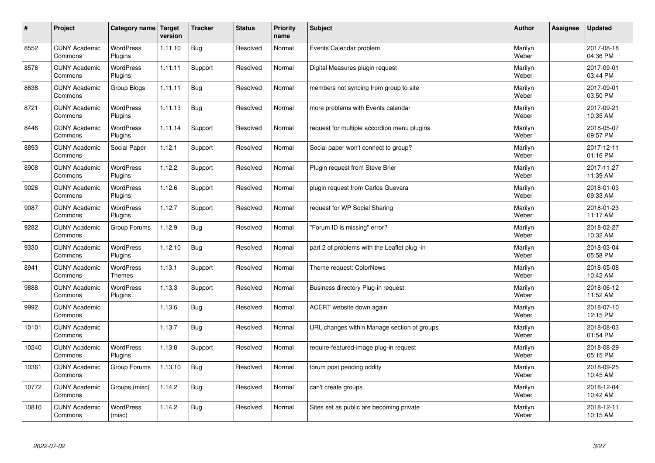| $\sharp$ | Project                         | Category name   Target            | version | <b>Tracker</b> | <b>Status</b> | <b>Priority</b><br>name | <b>Subject</b>                               | <b>Author</b>    | <b>Assignee</b> | <b>Updated</b>         |
|----------|---------------------------------|-----------------------------------|---------|----------------|---------------|-------------------------|----------------------------------------------|------------------|-----------------|------------------------|
| 8552     | <b>CUNY Academic</b><br>Commons | <b>WordPress</b><br>Plugins       | 1.11.10 | <b>Bug</b>     | Resolved      | Normal                  | Events Calendar problem                      | Marilyn<br>Weber |                 | 2017-08-18<br>04:36 PM |
| 8576     | <b>CUNY Academic</b><br>Commons | <b>WordPress</b><br>Plugins       | 1.11.11 | Support        | Resolved      | Normal                  | Digital Measures plugin request              | Marilyn<br>Weber |                 | 2017-09-01<br>03:44 PM |
| 8638     | <b>CUNY Academic</b><br>Commons | Group Blogs                       | 1.11.11 | <b>Bug</b>     | Resolved      | Normal                  | members not syncing from group to site       | Marilyn<br>Weber |                 | 2017-09-01<br>03:50 PM |
| 8721     | <b>CUNY Academic</b><br>Commons | <b>WordPress</b><br>Plugins       | 1.11.13 | <b>Bug</b>     | Resolved      | Normal                  | more problems with Events calendar           | Marilyn<br>Weber |                 | 2017-09-21<br>10:35 AM |
| 8446     | <b>CUNY Academic</b><br>Commons | <b>WordPress</b><br>Plugins       | 1.11.14 | Support        | Resolved      | Normal                  | request for multiple accordion menu plugins  | Marilyn<br>Weber |                 | 2018-05-07<br>09:57 PM |
| 8893     | <b>CUNY Academic</b><br>Commons | Social Paper                      | 1.12.1  | Support        | Resolved      | Normal                  | Social paper won't connect to group?         | Marilyn<br>Weber |                 | 2017-12-11<br>01:16 PM |
| 8908     | <b>CUNY Academic</b><br>Commons | <b>WordPress</b><br>Plugins       | 1.12.2  | Support        | Resolved      | Normal                  | Plugin request from Steve Brier              | Marilyn<br>Weber |                 | 2017-11-27<br>11:39 AM |
| 9026     | <b>CUNY Academic</b><br>Commons | <b>WordPress</b><br>Plugins       | 1.12.6  | Support        | Resolved      | Normal                  | plugin request from Carlos Guevara           | Marilyn<br>Weber |                 | 2018-01-03<br>09:33 AM |
| 9087     | <b>CUNY Academic</b><br>Commons | WordPress<br>Plugins              | 1.12.7  | Support        | Resolved      | Normal                  | request for WP Social Sharing                | Marilyn<br>Weber |                 | 2018-01-23<br>11:17 AM |
| 9282     | <b>CUNY Academic</b><br>Commons | Group Forums                      | 1.12.9  | Bug            | Resolved      | Normal                  | 'Forum ID is missing" error?                 | Marilyn<br>Weber |                 | 2018-02-27<br>10:32 AM |
| 9330     | <b>CUNY Academic</b><br>Commons | <b>WordPress</b><br>Plugins       | 1.12.10 | <b>Bug</b>     | Resolved      | Normal                  | part 2 of problems with the Leaflet plug -in | Marilyn<br>Weber |                 | 2018-03-04<br>05:58 PM |
| 8941     | <b>CUNY Academic</b><br>Commons | <b>WordPress</b><br><b>Themes</b> | 1.13.1  | Support        | Resolved      | Normal                  | Theme request: ColorNews                     | Marilyn<br>Weber |                 | 2018-05-08<br>10:42 AM |
| 9888     | <b>CUNY Academic</b><br>Commons | <b>WordPress</b><br>Plugins       | 1.13.3  | Support        | Resolved      | Normal                  | Business directory Plug-in request           | Marilyn<br>Weber |                 | 2018-06-12<br>11:52 AM |
| 9992     | <b>CUNY Academic</b><br>Commons |                                   | 1.13.6  | Bug            | Resolved      | Normal                  | ACERT website down again                     | Marilyn<br>Weber |                 | 2018-07-10<br>12:15 PM |
| 10101    | <b>CUNY Academic</b><br>Commons |                                   | 1.13.7  | <b>Bug</b>     | Resolved      | Normal                  | URL changes within Manage section of groups  | Marilyn<br>Weber |                 | 2018-08-03<br>01:54 PM |
| 10240    | <b>CUNY Academic</b><br>Commons | <b>WordPress</b><br>Plugins       | 1.13.8  | Support        | Resolved      | Normal                  | require-featured-image plug-in request       | Marilyn<br>Weber |                 | 2018-08-29<br>05:15 PM |
| 10361    | <b>CUNY Academic</b><br>Commons | Group Forums                      | 1.13.10 | <b>Bug</b>     | Resolved      | Normal                  | forum post pending oddity                    | Marilyn<br>Weber |                 | 2018-09-25<br>10:45 AM |
| 10772    | <b>CUNY Academic</b><br>Commons | Groups (misc)                     | 1.14.2  | <b>Bug</b>     | Resolved      | Normal                  | can't create groups                          | Marilyn<br>Weber |                 | 2018-12-04<br>10:42 AM |
| 10810    | <b>CUNY Academic</b><br>Commons | <b>WordPress</b><br>(misc)        | 1.14.2  | Bug            | Resolved      | Normal                  | Sites set as public are becoming private     | Marilyn<br>Weber |                 | 2018-12-11<br>10:15 AM |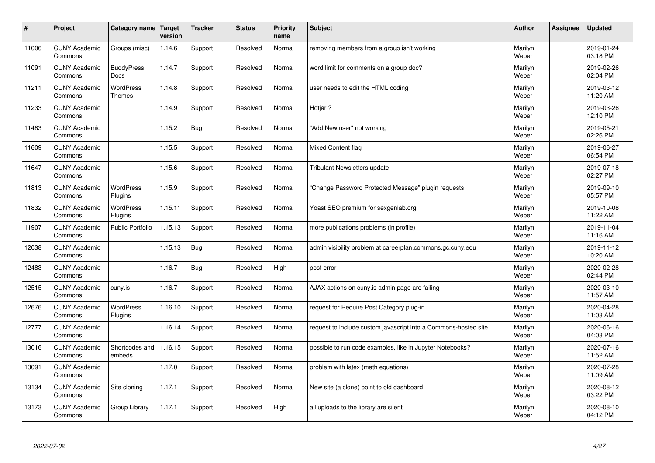| $\sharp$ | Project                         | Category name               | Target<br>version | <b>Tracker</b> | <b>Status</b> | <b>Priority</b><br>name | <b>Subject</b>                                                  | <b>Author</b>    | Assignee | <b>Updated</b>         |
|----------|---------------------------------|-----------------------------|-------------------|----------------|---------------|-------------------------|-----------------------------------------------------------------|------------------|----------|------------------------|
| 11006    | <b>CUNY Academic</b><br>Commons | Groups (misc)               | 1.14.6            | Support        | Resolved      | Normal                  | removing members from a group isn't working                     | Marilyn<br>Weber |          | 2019-01-24<br>03:18 PM |
| 11091    | <b>CUNY Academic</b><br>Commons | <b>BuddyPress</b><br>Docs   | 1.14.7            | Support        | Resolved      | Normal                  | word limit for comments on a group doc?                         | Marilyn<br>Weber |          | 2019-02-26<br>02:04 PM |
| 11211    | <b>CUNY Academic</b><br>Commons | <b>WordPress</b><br>Themes  | 1.14.8            | Support        | Resolved      | Normal                  | user needs to edit the HTML coding                              | Marilyn<br>Weber |          | 2019-03-12<br>11:20 AM |
| 11233    | <b>CUNY Academic</b><br>Commons |                             | 1.14.9            | Support        | Resolved      | Normal                  | Hotjar?                                                         | Marilyn<br>Weber |          | 2019-03-26<br>12:10 PM |
| 11483    | <b>CUNY Academic</b><br>Commons |                             | 1.15.2            | <b>Bug</b>     | Resolved      | Normal                  | "Add New user" not working                                      | Marilyn<br>Weber |          | 2019-05-21<br>02:26 PM |
| 11609    | <b>CUNY Academic</b><br>Commons |                             | 1.15.5            | Support        | Resolved      | Normal                  | <b>Mixed Content flag</b>                                       | Marilyn<br>Weber |          | 2019-06-27<br>06:54 PM |
| 11647    | <b>CUNY Academic</b><br>Commons |                             | 1.15.6            | Support        | Resolved      | Normal                  | <b>Tribulant Newsletters update</b>                             | Marilyn<br>Weber |          | 2019-07-18<br>02:27 PM |
| 11813    | <b>CUNY Academic</b><br>Commons | <b>WordPress</b><br>Plugins | 1.15.9            | Support        | Resolved      | Normal                  | 'Change Password Protected Message" plugin reguests             | Marilyn<br>Weber |          | 2019-09-10<br>05:57 PM |
| 11832    | <b>CUNY Academic</b><br>Commons | <b>WordPress</b><br>Plugins | 1.15.11           | Support        | Resolved      | Normal                  | Yoast SEO premium for sexgenlab.org                             | Marilyn<br>Weber |          | 2019-10-08<br>11:22 AM |
| 11907    | <b>CUNY Academic</b><br>Commons | Public Portfolio            | 1.15.13           | Support        | Resolved      | Normal                  | more publications problems (in profile)                         | Marilyn<br>Weber |          | 2019-11-04<br>11:16 AM |
| 12038    | <b>CUNY Academic</b><br>Commons |                             | 1.15.13           | Bug            | Resolved      | Normal                  | admin visibility problem at careerplan.commons.gc.cuny.edu      | Marilyn<br>Weber |          | 2019-11-12<br>10:20 AM |
| 12483    | <b>CUNY Academic</b><br>Commons |                             | 1.16.7            | <b>Bug</b>     | Resolved      | High                    | post error                                                      | Marilyn<br>Weber |          | 2020-02-28<br>02:44 PM |
| 12515    | <b>CUNY Academic</b><br>Commons | cuny.is                     | 1.16.7            | Support        | Resolved      | Normal                  | AJAX actions on cuny is admin page are failing                  | Marilyn<br>Weber |          | 2020-03-10<br>11:57 AM |
| 12676    | <b>CUNY Academic</b><br>Commons | WordPress<br>Plugins        | 1.16.10           | Support        | Resolved      | Normal                  | request for Require Post Category plug-in                       | Marilyn<br>Weber |          | 2020-04-28<br>11:03 AM |
| 12777    | <b>CUNY Academic</b><br>Commons |                             | 1.16.14           | Support        | Resolved      | Normal                  | request to include custom javascript into a Commons-hosted site | Marilyn<br>Weber |          | 2020-06-16<br>04:03 PM |
| 13016    | <b>CUNY Academic</b><br>Commons | Shortcodes and<br>embeds    | 1.16.15           | Support        | Resolved      | Normal                  | possible to run code examples, like in Jupyter Notebooks?       | Marilyn<br>Weber |          | 2020-07-16<br>11:52 AM |
| 13091    | <b>CUNY Academic</b><br>Commons |                             | 1.17.0            | Support        | Resolved      | Normal                  | problem with latex (math equations)                             | Marilyn<br>Weber |          | 2020-07-28<br>11:09 AM |
| 13134    | <b>CUNY Academic</b><br>Commons | Site cloning                | 1.17.1            | Support        | Resolved      | Normal                  | New site (a clone) point to old dashboard                       | Marilyn<br>Weber |          | 2020-08-12<br>03:22 PM |
| 13173    | <b>CUNY Academic</b><br>Commons | Group Library               | 1.17.1            | Support        | Resolved      | High                    | all uploads to the library are silent                           | Marilyn<br>Weber |          | 2020-08-10<br>04:12 PM |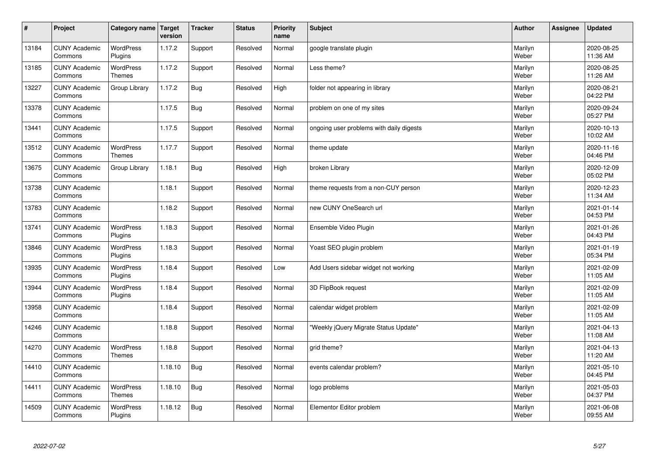| $\sharp$ | Project                         | Category name                     | Target<br>version | <b>Tracker</b> | <b>Status</b> | <b>Priority</b><br>name | <b>Subject</b>                           | <b>Author</b>    | Assignee | <b>Updated</b>         |
|----------|---------------------------------|-----------------------------------|-------------------|----------------|---------------|-------------------------|------------------------------------------|------------------|----------|------------------------|
| 13184    | <b>CUNY Academic</b><br>Commons | <b>WordPress</b><br>Plugins       | 1.17.2            | Support        | Resolved      | Normal                  | google translate plugin                  | Marilyn<br>Weber |          | 2020-08-25<br>11:36 AM |
| 13185    | <b>CUNY Academic</b><br>Commons | <b>WordPress</b><br><b>Themes</b> | 1.17.2            | Support        | Resolved      | Normal                  | Less theme?                              | Marilyn<br>Weber |          | 2020-08-25<br>11:26 AM |
| 13227    | <b>CUNY Academic</b><br>Commons | Group Library                     | 1.17.2            | <b>Bug</b>     | Resolved      | High                    | folder not appearing in library          | Marilyn<br>Weber |          | 2020-08-21<br>04:22 PM |
| 13378    | <b>CUNY Academic</b><br>Commons |                                   | 1.17.5            | <b>Bug</b>     | Resolved      | Normal                  | problem on one of my sites               | Marilyn<br>Weber |          | 2020-09-24<br>05:27 PM |
| 13441    | <b>CUNY Academic</b><br>Commons |                                   | 1.17.5            | Support        | Resolved      | Normal                  | ongoing user problems with daily digests | Marilyn<br>Weber |          | 2020-10-13<br>10:02 AM |
| 13512    | <b>CUNY Academic</b><br>Commons | <b>WordPress</b><br><b>Themes</b> | 1.17.7            | Support        | Resolved      | Normal                  | theme update                             | Marilyn<br>Weber |          | 2020-11-16<br>04:46 PM |
| 13675    | <b>CUNY Academic</b><br>Commons | Group Library                     | 1.18.1            | <b>Bug</b>     | Resolved      | High                    | broken Library                           | Marilyn<br>Weber |          | 2020-12-09<br>05:02 PM |
| 13738    | <b>CUNY Academic</b><br>Commons |                                   | 1.18.1            | Support        | Resolved      | Normal                  | theme requests from a non-CUY person     | Marilyn<br>Weber |          | 2020-12-23<br>11:34 AM |
| 13783    | <b>CUNY Academic</b><br>Commons |                                   | 1.18.2            | Support        | Resolved      | Normal                  | new CUNY OneSearch url                   | Marilyn<br>Weber |          | 2021-01-14<br>04:53 PM |
| 13741    | <b>CUNY Academic</b><br>Commons | <b>WordPress</b><br>Plugins       | 1.18.3            | Support        | Resolved      | Normal                  | Ensemble Video Plugin                    | Marilyn<br>Weber |          | 2021-01-26<br>04:43 PM |
| 13846    | <b>CUNY Academic</b><br>Commons | WordPress<br>Plugins              | 1.18.3            | Support        | Resolved      | Normal                  | Yoast SEO plugin problem                 | Marilyn<br>Weber |          | 2021-01-19<br>05:34 PM |
| 13935    | <b>CUNY Academic</b><br>Commons | <b>WordPress</b><br>Plugins       | 1.18.4            | Support        | Resolved      | Low                     | Add Users sidebar widget not working     | Marilyn<br>Weber |          | 2021-02-09<br>11:05 AM |
| 13944    | <b>CUNY Academic</b><br>Commons | <b>WordPress</b><br>Plugins       | 1.18.4            | Support        | Resolved      | Normal                  | 3D FlipBook request                      | Marilyn<br>Weber |          | 2021-02-09<br>11:05 AM |
| 13958    | <b>CUNY Academic</b><br>Commons |                                   | 1.18.4            | Support        | Resolved      | Normal                  | calendar widget problem                  | Marilyn<br>Weber |          | 2021-02-09<br>11:05 AM |
| 14246    | <b>CUNY Academic</b><br>Commons |                                   | 1.18.8            | Support        | Resolved      | Normal                  | "Weekly jQuery Migrate Status Update"    | Marilyn<br>Weber |          | 2021-04-13<br>11:08 AM |
| 14270    | <b>CUNY Academic</b><br>Commons | <b>WordPress</b><br><b>Themes</b> | 1.18.8            | Support        | Resolved      | Normal                  | grid theme?                              | Marilyn<br>Weber |          | 2021-04-13<br>11:20 AM |
| 14410    | <b>CUNY Academic</b><br>Commons |                                   | 1.18.10           | <b>Bug</b>     | Resolved      | Normal                  | events calendar problem?                 | Marilyn<br>Weber |          | 2021-05-10<br>04:45 PM |
| 14411    | <b>CUNY Academic</b><br>Commons | <b>WordPress</b><br>Themes        | 1.18.10           | Bug            | Resolved      | Normal                  | logo problems                            | Marilyn<br>Weber |          | 2021-05-03<br>04:37 PM |
| 14509    | <b>CUNY Academic</b><br>Commons | <b>WordPress</b><br>Plugins       | 1.18.12           | <b>Bug</b>     | Resolved      | Normal                  | Elementor Editor problem                 | Marilyn<br>Weber |          | 2021-06-08<br>09:55 AM |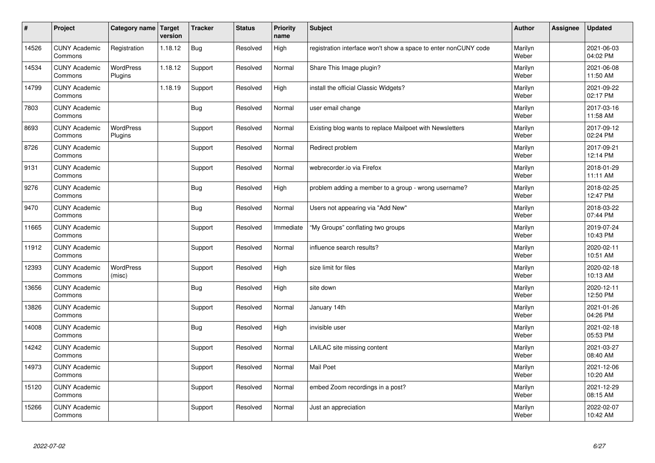| $\sharp$ | Project                         | Category name   Target      | version | <b>Tracker</b> | <b>Status</b> | <b>Priority</b><br>name | <b>Subject</b>                                                  | <b>Author</b>    | <b>Assignee</b> | <b>Updated</b>         |
|----------|---------------------------------|-----------------------------|---------|----------------|---------------|-------------------------|-----------------------------------------------------------------|------------------|-----------------|------------------------|
| 14526    | <b>CUNY Academic</b><br>Commons | Registration                | 1.18.12 | Bug            | Resolved      | High                    | registration interface won't show a space to enter nonCUNY code | Marilyn<br>Weber |                 | 2021-06-03<br>04:02 PM |
| 14534    | <b>CUNY Academic</b><br>Commons | <b>WordPress</b><br>Plugins | 1.18.12 | Support        | Resolved      | Normal                  | Share This Image plugin?                                        | Marilyn<br>Weber |                 | 2021-06-08<br>11:50 AM |
| 14799    | <b>CUNY Academic</b><br>Commons |                             | 1.18.19 | Support        | Resolved      | High                    | install the official Classic Widgets?                           | Marilyn<br>Weber |                 | 2021-09-22<br>02:17 PM |
| 7803     | <b>CUNY Academic</b><br>Commons |                             |         | Bug            | Resolved      | Normal                  | user email change                                               | Marilyn<br>Weber |                 | 2017-03-16<br>11:58 AM |
| 8693     | <b>CUNY Academic</b><br>Commons | <b>WordPress</b><br>Plugins |         | Support        | Resolved      | Normal                  | Existing blog wants to replace Mailpoet with Newsletters        | Marilyn<br>Weber |                 | 2017-09-12<br>02:24 PM |
| 8726     | <b>CUNY Academic</b><br>Commons |                             |         | Support        | Resolved      | Normal                  | Redirect problem                                                | Marilyn<br>Weber |                 | 2017-09-21<br>12:14 PM |
| 9131     | <b>CUNY Academic</b><br>Commons |                             |         | Support        | Resolved      | Normal                  | webrecorder.io via Firefox                                      | Marilyn<br>Weber |                 | 2018-01-29<br>11:11 AM |
| 9276     | <b>CUNY Academic</b><br>Commons |                             |         | Bug            | Resolved      | High                    | problem adding a member to a group - wrong username?            | Marilyn<br>Weber |                 | 2018-02-25<br>12:47 PM |
| 9470     | <b>CUNY Academic</b><br>Commons |                             |         | Bug            | Resolved      | Normal                  | Users not appearing via "Add New"                               | Marilyn<br>Weber |                 | 2018-03-22<br>07:44 PM |
| 11665    | <b>CUNY Academic</b><br>Commons |                             |         | Support        | Resolved      | Immediate               | "My Groups" conflating two groups                               | Marilyn<br>Weber |                 | 2019-07-24<br>10:43 PM |
| 11912    | <b>CUNY Academic</b><br>Commons |                             |         | Support        | Resolved      | Normal                  | influence search results?                                       | Marilyn<br>Weber |                 | 2020-02-11<br>10:51 AM |
| 12393    | <b>CUNY Academic</b><br>Commons | <b>WordPress</b><br>(misc)  |         | Support        | Resolved      | High                    | size limit for files                                            | Marilyn<br>Weber |                 | 2020-02-18<br>10:13 AM |
| 13656    | <b>CUNY Academic</b><br>Commons |                             |         | <b>Bug</b>     | Resolved      | High                    | site down                                                       | Marilyn<br>Weber |                 | 2020-12-11<br>12:50 PM |
| 13826    | <b>CUNY Academic</b><br>Commons |                             |         | Support        | Resolved      | Normal                  | January 14th                                                    | Marilyn<br>Weber |                 | 2021-01-26<br>04:26 PM |
| 14008    | <b>CUNY Academic</b><br>Commons |                             |         | Bug            | Resolved      | High                    | invisible user                                                  | Marilyn<br>Weber |                 | 2021-02-18<br>05:53 PM |
| 14242    | <b>CUNY Academic</b><br>Commons |                             |         | Support        | Resolved      | Normal                  | LAILAC site missing content                                     | Marilyn<br>Weber |                 | 2021-03-27<br>08:40 AM |
| 14973    | <b>CUNY Academic</b><br>Commons |                             |         | Support        | Resolved      | Normal                  | Mail Poet                                                       | Marilyn<br>Weber |                 | 2021-12-06<br>10:20 AM |
| 15120    | <b>CUNY Academic</b><br>Commons |                             |         | Support        | Resolved      | Normal                  | embed Zoom recordings in a post?                                | Marilyn<br>Weber |                 | 2021-12-29<br>08:15 AM |
| 15266    | <b>CUNY Academic</b><br>Commons |                             |         | Support        | Resolved      | Normal                  | Just an appreciation                                            | Marilyn<br>Weber |                 | 2022-02-07<br>10:42 AM |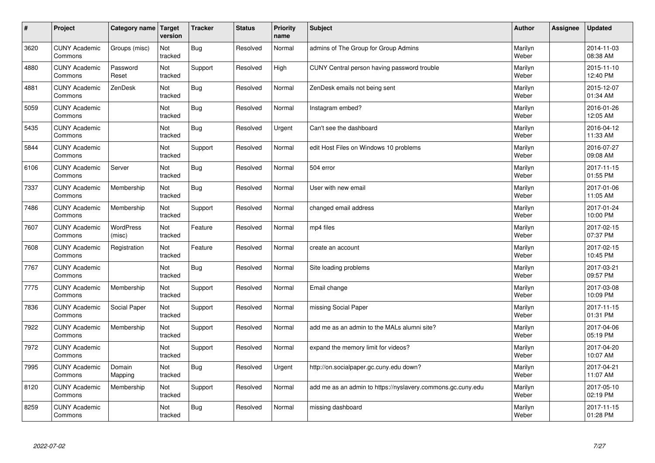| $\vert$ # | Project                         | Category name   Target | version        | <b>Tracker</b> | <b>Status</b> | <b>Priority</b><br>name | <b>Subject</b>                                              | <b>Author</b>    | <b>Assignee</b> | <b>Updated</b>         |
|-----------|---------------------------------|------------------------|----------------|----------------|---------------|-------------------------|-------------------------------------------------------------|------------------|-----------------|------------------------|
| 3620      | <b>CUNY Academic</b><br>Commons | Groups (misc)          | Not<br>tracked | <b>Bug</b>     | Resolved      | Normal                  | admins of The Group for Group Admins                        | Marilyn<br>Weber |                 | 2014-11-03<br>08:38 AM |
| 4880      | <b>CUNY Academic</b><br>Commons | Password<br>Reset      | Not<br>tracked | Support        | Resolved      | High                    | CUNY Central person having password trouble                 | Marilyn<br>Weber |                 | 2015-11-10<br>12:40 PM |
| 4881      | <b>CUNY Academic</b><br>Commons | ZenDesk                | Not<br>tracked | <b>Bug</b>     | Resolved      | Normal                  | ZenDesk emails not being sent                               | Marilyn<br>Weber |                 | 2015-12-07<br>01:34 AM |
| 5059      | <b>CUNY Academic</b><br>Commons |                        | Not<br>tracked | <b>Bug</b>     | Resolved      | Normal                  | Instagram embed?                                            | Marilyn<br>Weber |                 | 2016-01-26<br>12:05 AM |
| 5435      | <b>CUNY Academic</b><br>Commons |                        | Not<br>tracked | <b>Bug</b>     | Resolved      | Urgent                  | Can't see the dashboard                                     | Marilyn<br>Weber |                 | 2016-04-12<br>11:33 AM |
| 5844      | <b>CUNY Academic</b><br>Commons |                        | Not<br>tracked | Support        | Resolved      | Normal                  | edit Host Files on Windows 10 problems                      | Marilyn<br>Weber |                 | 2016-07-27<br>09:08 AM |
| 6106      | <b>CUNY Academic</b><br>Commons | Server                 | Not<br>tracked | <b>Bug</b>     | Resolved      | Normal                  | 504 error                                                   | Marilyn<br>Weber |                 | 2017-11-15<br>01:55 PM |
| 7337      | <b>CUNY Academic</b><br>Commons | Membership             | Not<br>tracked | <b>Bug</b>     | Resolved      | Normal                  | User with new email                                         | Marilyn<br>Weber |                 | 2017-01-06<br>11:05 AM |
| 7486      | <b>CUNY Academic</b><br>Commons | Membership             | Not<br>tracked | Support        | Resolved      | Normal                  | changed email address                                       | Marilyn<br>Weber |                 | 2017-01-24<br>10:00 PM |
| 7607      | <b>CUNY Academic</b><br>Commons | WordPress<br>(misc)    | Not<br>tracked | Feature        | Resolved      | Normal                  | mp4 files                                                   | Marilyn<br>Weber |                 | 2017-02-15<br>07:37 PM |
| 7608      | <b>CUNY Academic</b><br>Commons | Registration           | Not<br>tracked | Feature        | Resolved      | Normal                  | create an account                                           | Marilyn<br>Weber |                 | 2017-02-15<br>10:45 PM |
| 7767      | <b>CUNY Academic</b><br>Commons |                        | Not<br>tracked | <b>Bug</b>     | Resolved      | Normal                  | Site loading problems                                       | Marilyn<br>Weber |                 | 2017-03-21<br>09:57 PM |
| 7775      | <b>CUNY Academic</b><br>Commons | Membership             | Not<br>tracked | Support        | Resolved      | Normal                  | Email change                                                | Marilyn<br>Weber |                 | 2017-03-08<br>10:09 PM |
| 7836      | <b>CUNY Academic</b><br>Commons | Social Paper           | Not<br>tracked | Support        | Resolved      | Normal                  | missing Social Paper                                        | Marilyn<br>Weber |                 | 2017-11-15<br>01:31 PM |
| 7922      | <b>CUNY Academic</b><br>Commons | Membership             | Not<br>tracked | Support        | Resolved      | Normal                  | add me as an admin to the MALs alumni site?                 | Marilyn<br>Weber |                 | 2017-04-06<br>05:19 PM |
| 7972      | <b>CUNY Academic</b><br>Commons |                        | Not<br>tracked | Support        | Resolved      | Normal                  | expand the memory limit for videos?                         | Marilyn<br>Weber |                 | 2017-04-20<br>10:07 AM |
| 7995      | <b>CUNY Academic</b><br>Commons | Domain<br>Mapping      | Not<br>tracked | <b>Bug</b>     | Resolved      | Urgent                  | http://on.socialpaper.gc.cuny.edu down?                     | Marilyn<br>Weber |                 | 2017-04-21<br>11:07 AM |
| 8120      | <b>CUNY Academic</b><br>Commons | Membership             | Not<br>tracked | Support        | Resolved      | Normal                  | add me as an admin to https://nyslavery.commons.gc.cuny.edu | Marilyn<br>Weber |                 | 2017-05-10<br>02:19 PM |
| 8259      | <b>CUNY Academic</b><br>Commons |                        | Not<br>tracked | Bug            | Resolved      | Normal                  | missing dashboard                                           | Marilyn<br>Weber |                 | 2017-11-15<br>01:28 PM |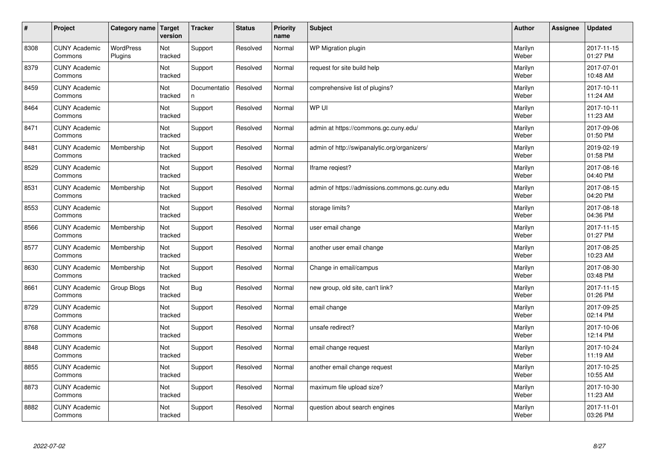| $\sharp$ | Project                         | Category name               | Target<br>version | <b>Tracker</b>    | <b>Status</b> | <b>Priority</b><br>name | <b>Subject</b>                                  | <b>Author</b>    | Assignee | <b>Updated</b>         |
|----------|---------------------------------|-----------------------------|-------------------|-------------------|---------------|-------------------------|-------------------------------------------------|------------------|----------|------------------------|
| 8308     | <b>CUNY Academic</b><br>Commons | <b>WordPress</b><br>Plugins | Not<br>tracked    | Support           | Resolved      | Normal                  | <b>WP Migration plugin</b>                      | Marilyn<br>Weber |          | 2017-11-15<br>01:27 PM |
| 8379     | <b>CUNY Academic</b><br>Commons |                             | Not<br>tracked    | Support           | Resolved      | Normal                  | request for site build help                     | Marilyn<br>Weber |          | 2017-07-01<br>10:48 AM |
| 8459     | <b>CUNY Academic</b><br>Commons |                             | Not<br>tracked    | Documentatio<br>n | Resolved      | Normal                  | comprehensive list of plugins?                  | Marilyn<br>Weber |          | 2017-10-11<br>11:24 AM |
| 8464     | <b>CUNY Academic</b><br>Commons |                             | Not<br>tracked    | Support           | Resolved      | Normal                  | WP UI                                           | Marilyn<br>Weber |          | 2017-10-11<br>11:23 AM |
| 8471     | <b>CUNY Academic</b><br>Commons |                             | Not<br>tracked    | Support           | Resolved      | Normal                  | admin at https://commons.gc.cuny.edu/           | Marilyn<br>Weber |          | 2017-09-06<br>01:50 PM |
| 8481     | <b>CUNY Academic</b><br>Commons | Membership                  | Not<br>tracked    | Support           | Resolved      | Normal                  | admin of http://swipanalytic.org/organizers/    | Marilyn<br>Weber |          | 2019-02-19<br>01:58 PM |
| 8529     | <b>CUNY Academic</b><br>Commons |                             | Not<br>tracked    | Support           | Resolved      | Normal                  | Iframe regiest?                                 | Marilyn<br>Weber |          | 2017-08-16<br>04:40 PM |
| 8531     | <b>CUNY Academic</b><br>Commons | Membership                  | Not<br>tracked    | Support           | Resolved      | Normal                  | admin of https://admissions.commons.gc.cuny.edu | Marilyn<br>Weber |          | 2017-08-15<br>04:20 PM |
| 8553     | <b>CUNY Academic</b><br>Commons |                             | Not<br>tracked    | Support           | Resolved      | Normal                  | storage limits?                                 | Marilyn<br>Weber |          | 2017-08-18<br>04:36 PM |
| 8566     | <b>CUNY Academic</b><br>Commons | Membership                  | Not<br>tracked    | Support           | Resolved      | Normal                  | user email change                               | Marilyn<br>Weber |          | 2017-11-15<br>01:27 PM |
| 8577     | <b>CUNY Academic</b><br>Commons | Membership                  | Not<br>tracked    | Support           | Resolved      | Normal                  | another user email change                       | Marilyn<br>Weber |          | 2017-08-25<br>10:23 AM |
| 8630     | <b>CUNY Academic</b><br>Commons | Membership                  | Not<br>tracked    | Support           | Resolved      | Normal                  | Change in email/campus                          | Marilyn<br>Weber |          | 2017-08-30<br>03:48 PM |
| 8661     | <b>CUNY Academic</b><br>Commons | Group Blogs                 | Not<br>tracked    | <b>Bug</b>        | Resolved      | Normal                  | new group, old site, can't link?                | Marilyn<br>Weber |          | 2017-11-15<br>01:26 PM |
| 8729     | <b>CUNY Academic</b><br>Commons |                             | Not<br>tracked    | Support           | Resolved      | Normal                  | email change                                    | Marilyn<br>Weber |          | 2017-09-25<br>02:14 PM |
| 8768     | <b>CUNY Academic</b><br>Commons |                             | Not<br>tracked    | Support           | Resolved      | Normal                  | unsafe redirect?                                | Marilyn<br>Weber |          | 2017-10-06<br>12:14 PM |
| 8848     | <b>CUNY Academic</b><br>Commons |                             | Not<br>tracked    | Support           | Resolved      | Normal                  | email change request                            | Marilyn<br>Weber |          | 2017-10-24<br>11:19 AM |
| 8855     | <b>CUNY Academic</b><br>Commons |                             | Not<br>tracked    | Support           | Resolved      | Normal                  | another email change request                    | Marilyn<br>Weber |          | 2017-10-25<br>10:55 AM |
| 8873     | <b>CUNY Academic</b><br>Commons |                             | Not<br>tracked    | Support           | Resolved      | Normal                  | maximum file upload size?                       | Marilyn<br>Weber |          | 2017-10-30<br>11:23 AM |
| 8882     | <b>CUNY Academic</b><br>Commons |                             | Not<br>tracked    | Support           | Resolved      | Normal                  | question about search engines                   | Marilyn<br>Weber |          | 2017-11-01<br>03:26 PM |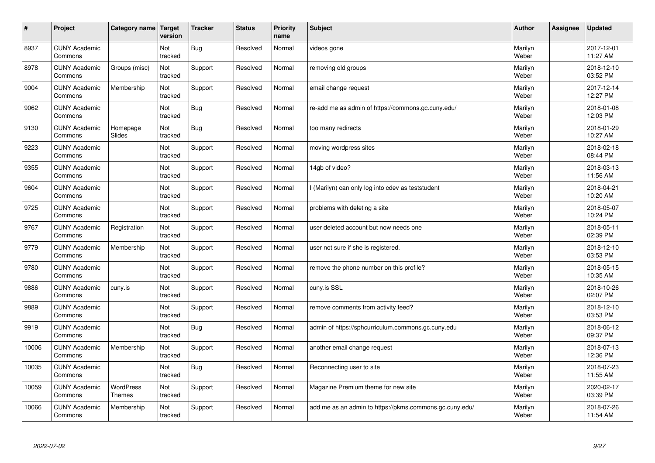| #     | Project                         | Category name   Target            | version        | <b>Tracker</b> | <b>Status</b> | <b>Priority</b><br>name | <b>Subject</b>                                          | <b>Author</b>    | <b>Assignee</b> | <b>Updated</b>         |
|-------|---------------------------------|-----------------------------------|----------------|----------------|---------------|-------------------------|---------------------------------------------------------|------------------|-----------------|------------------------|
| 8937  | <b>CUNY Academic</b><br>Commons |                                   | Not<br>tracked | Bug            | Resolved      | Normal                  | videos gone                                             | Marilyn<br>Weber |                 | 2017-12-01<br>11:27 AM |
| 8978  | <b>CUNY Academic</b><br>Commons | Groups (misc)                     | Not<br>tracked | Support        | Resolved      | Normal                  | removing old groups                                     | Marilyn<br>Weber |                 | 2018-12-10<br>03:52 PM |
| 9004  | <b>CUNY Academic</b><br>Commons | Membership                        | Not<br>tracked | Support        | Resolved      | Normal                  | email change request                                    | Marilyn<br>Weber |                 | 2017-12-14<br>12:27 PM |
| 9062  | <b>CUNY Academic</b><br>Commons |                                   | Not<br>tracked | <b>Bug</b>     | Resolved      | Normal                  | re-add me as admin of https://commons.gc.cuny.edu/      | Marilyn<br>Weber |                 | 2018-01-08<br>12:03 PM |
| 9130  | <b>CUNY Academic</b><br>Commons | Homepage<br>Slides                | Not<br>tracked | Bug            | Resolved      | Normal                  | too many redirects                                      | Marilyn<br>Weber |                 | 2018-01-29<br>10:27 AM |
| 9223  | <b>CUNY Academic</b><br>Commons |                                   | Not<br>tracked | Support        | Resolved      | Normal                  | moving wordpress sites                                  | Marilyn<br>Weber |                 | 2018-02-18<br>08:44 PM |
| 9355  | <b>CUNY Academic</b><br>Commons |                                   | Not<br>tracked | Support        | Resolved      | Normal                  | 14gb of video?                                          | Marilyn<br>Weber |                 | 2018-03-13<br>11:56 AM |
| 9604  | <b>CUNY Academic</b><br>Commons |                                   | Not<br>tracked | Support        | Resolved      | Normal                  | I (Marilyn) can only log into cdev as teststudent       | Marilyn<br>Weber |                 | 2018-04-21<br>10:20 AM |
| 9725  | <b>CUNY Academic</b><br>Commons |                                   | Not<br>tracked | Support        | Resolved      | Normal                  | problems with deleting a site                           | Marilyn<br>Weber |                 | 2018-05-07<br>10:24 PM |
| 9767  | <b>CUNY Academic</b><br>Commons | Registration                      | Not<br>tracked | Support        | Resolved      | Normal                  | user deleted account but now needs one                  | Marilyn<br>Weber |                 | 2018-05-11<br>02:39 PM |
| 9779  | <b>CUNY Academic</b><br>Commons | Membership                        | Not<br>tracked | Support        | Resolved      | Normal                  | user not sure if she is registered.                     | Marilyn<br>Weber |                 | 2018-12-10<br>03:53 PM |
| 9780  | <b>CUNY Academic</b><br>Commons |                                   | Not<br>tracked | Support        | Resolved      | Normal                  | remove the phone number on this profile?                | Marilyn<br>Weber |                 | 2018-05-15<br>10:35 AM |
| 9886  | <b>CUNY Academic</b><br>Commons | cuny.is                           | Not<br>tracked | Support        | Resolved      | Normal                  | cuny.is SSL                                             | Marilyn<br>Weber |                 | 2018-10-26<br>02:07 PM |
| 9889  | <b>CUNY Academic</b><br>Commons |                                   | Not<br>tracked | Support        | Resolved      | Normal                  | remove comments from activity feed?                     | Marilyn<br>Weber |                 | 2018-12-10<br>03:53 PM |
| 9919  | <b>CUNY Academic</b><br>Commons |                                   | Not<br>tracked | Bug            | Resolved      | Normal                  | admin of https://sphcurriculum.commons.gc.cuny.edu      | Marilyn<br>Weber |                 | 2018-06-12<br>09:37 PM |
| 10006 | <b>CUNY Academic</b><br>Commons | Membership                        | Not<br>tracked | Support        | Resolved      | Normal                  | another email change request                            | Marilyn<br>Weber |                 | 2018-07-13<br>12:36 PM |
| 10035 | <b>CUNY Academic</b><br>Commons |                                   | Not<br>tracked | Bug            | Resolved      | Normal                  | Reconnecting user to site                               | Marilyn<br>Weber |                 | 2018-07-23<br>11:55 AM |
| 10059 | <b>CUNY Academic</b><br>Commons | <b>WordPress</b><br><b>Themes</b> | Not<br>tracked | Support        | Resolved      | Normal                  | Magazine Premium theme for new site                     | Marilyn<br>Weber |                 | 2020-02-17<br>03:39 PM |
| 10066 | <b>CUNY Academic</b><br>Commons | Membership                        | Not<br>tracked | Support        | Resolved      | Normal                  | add me as an admin to https://pkms.commons.gc.cuny.edu/ | Marilyn<br>Weber |                 | 2018-07-26<br>11:54 AM |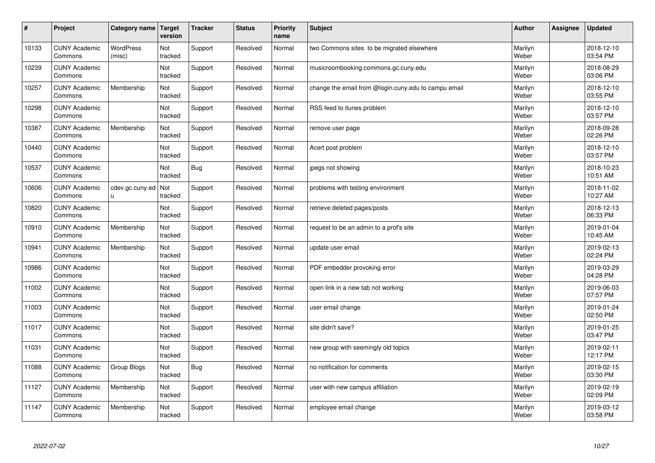| #     | Project                         | Category name              | Target<br>version | <b>Tracker</b> | <b>Status</b> | <b>Priority</b><br>name | <b>Subject</b>                                       | <b>Author</b>    | Assignee | <b>Updated</b>         |
|-------|---------------------------------|----------------------------|-------------------|----------------|---------------|-------------------------|------------------------------------------------------|------------------|----------|------------------------|
| 10133 | <b>CUNY Academic</b><br>Commons | <b>WordPress</b><br>(misc) | Not<br>tracked    | Support        | Resolved      | Normal                  | two Commons sites to be migrated elsewhere           | Marilyn<br>Weber |          | 2018-12-10<br>03:54 PM |
| 10239 | <b>CUNY Academic</b><br>Commons |                            | Not<br>tracked    | Support        | Resolved      | Normal                  | musicroombooking.commons.gc.cuny.edu                 | Marilyn<br>Weber |          | 2018-08-29<br>03:06 PM |
| 10257 | <b>CUNY Academic</b><br>Commons | Membership                 | Not<br>tracked    | Support        | Resolved      | Normal                  | change the email from @login.cuny.edu to campu email | Marilyn<br>Weber |          | 2018-12-10<br>03:55 PM |
| 10298 | <b>CUNY Academic</b><br>Commons |                            | Not<br>tracked    | Support        | Resolved      | Normal                  | RSS feed to itunes problem                           | Marilyn<br>Weber |          | 2018-12-10<br>03:57 PM |
| 10387 | <b>CUNY Academic</b><br>Commons | Membership                 | Not<br>tracked    | Support        | Resolved      | Normal                  | remove user page                                     | Marilyn<br>Weber |          | 2018-09-28<br>02:26 PM |
| 10440 | <b>CUNY Academic</b><br>Commons |                            | Not<br>tracked    | Support        | Resolved      | Normal                  | Acert post problem                                   | Marilyn<br>Weber |          | 2018-12-10<br>03:57 PM |
| 10537 | <b>CUNY Academic</b><br>Commons |                            | Not<br>tracked    | <b>Bug</b>     | Resolved      | Normal                  | jpegs not showing                                    | Marilyn<br>Weber |          | 2018-10-23<br>10:51 AM |
| 10606 | <b>CUNY Academic</b><br>Commons | cdev.gc.cuny.ed<br>u       | Not<br>tracked    | Support        | Resolved      | Normal                  | problems with testing environment                    | Marilyn<br>Weber |          | 2018-11-02<br>10:27 AM |
| 10820 | <b>CUNY Academic</b><br>Commons |                            | Not<br>tracked    | Support        | Resolved      | Normal                  | retrieve deleted pages/posts                         | Marilyn<br>Weber |          | 2018-12-13<br>06:33 PM |
| 10910 | <b>CUNY Academic</b><br>Commons | Membership                 | Not<br>tracked    | Support        | Resolved      | Normal                  | request to be an admin to a prof's site              | Marilyn<br>Weber |          | 2019-01-04<br>10:45 AM |
| 10941 | <b>CUNY Academic</b><br>Commons | Membership                 | Not<br>tracked    | Support        | Resolved      | Normal                  | update user email                                    | Marilyn<br>Weber |          | 2019-02-13<br>02:24 PM |
| 10986 | <b>CUNY Academic</b><br>Commons |                            | Not<br>tracked    | Support        | Resolved      | Normal                  | PDF embedder provoking error                         | Marilyn<br>Weber |          | 2019-03-29<br>04:28 PM |
| 11002 | <b>CUNY Academic</b><br>Commons |                            | Not<br>tracked    | Support        | Resolved      | Normal                  | open link in a new tab not working                   | Marilyn<br>Weber |          | 2019-06-03<br>07:57 PM |
| 11003 | <b>CUNY Academic</b><br>Commons |                            | Not<br>tracked    | Support        | Resolved      | Normal                  | user email change                                    | Marilyn<br>Weber |          | 2019-01-24<br>02:50 PM |
| 11017 | <b>CUNY Academic</b><br>Commons |                            | Not<br>tracked    | Support        | Resolved      | Normal                  | site didn't save?                                    | Marilyn<br>Weber |          | 2019-01-25<br>03:47 PM |
| 11031 | <b>CUNY Academic</b><br>Commons |                            | Not<br>tracked    | Support        | Resolved      | Normal                  | new group with seemingly old topics                  | Marilyn<br>Weber |          | 2019-02-11<br>12:17 PM |
| 11088 | <b>CUNY Academic</b><br>Commons | Group Blogs                | Not<br>tracked    | <b>Bug</b>     | Resolved      | Normal                  | no notification for comments                         | Marilyn<br>Weber |          | 2019-02-15<br>03:30 PM |
| 11127 | <b>CUNY Academic</b><br>Commons | Membership                 | Not<br>tracked    | Support        | Resolved      | Normal                  | user with new campus affiliation                     | Marilyn<br>Weber |          | 2019-02-19<br>02:09 PM |
| 11147 | <b>CUNY Academic</b><br>Commons | Membership                 | Not<br>tracked    | Support        | Resolved      | Normal                  | employee email change                                | Marilyn<br>Weber |          | 2019-03-12<br>03:58 PM |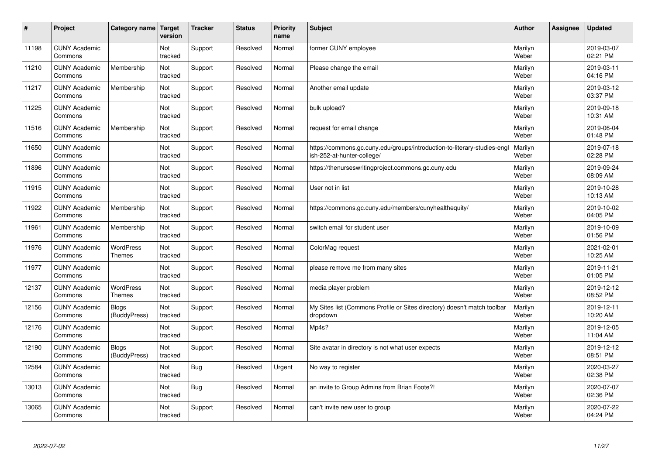| #     | Project                         | Category name                     | Target<br>version | <b>Tracker</b> | <b>Status</b> | <b>Priority</b><br>name | <b>Subject</b>                                                                                         | <b>Author</b>    | Assignee | <b>Updated</b>         |
|-------|---------------------------------|-----------------------------------|-------------------|----------------|---------------|-------------------------|--------------------------------------------------------------------------------------------------------|------------------|----------|------------------------|
| 11198 | <b>CUNY Academic</b><br>Commons |                                   | Not<br>tracked    | Support        | Resolved      | Normal                  | former CUNY employee                                                                                   | Marilyn<br>Weber |          | 2019-03-07<br>02:21 PM |
| 11210 | <b>CUNY Academic</b><br>Commons | Membership                        | Not<br>tracked    | Support        | Resolved      | Normal                  | Please change the email                                                                                | Marilyn<br>Weber |          | 2019-03-11<br>04:16 PM |
| 11217 | <b>CUNY Academic</b><br>Commons | Membership                        | Not<br>tracked    | Support        | Resolved      | Normal                  | Another email update                                                                                   | Marilyn<br>Weber |          | 2019-03-12<br>03:37 PM |
| 11225 | <b>CUNY Academic</b><br>Commons |                                   | Not<br>tracked    | Support        | Resolved      | Normal                  | bulk upload?                                                                                           | Marilyn<br>Weber |          | 2019-09-18<br>10:31 AM |
| 11516 | <b>CUNY Academic</b><br>Commons | Membership                        | Not<br>tracked    | Support        | Resolved      | Normal                  | request for email change                                                                               | Marilyn<br>Weber |          | 2019-06-04<br>01:48 PM |
| 11650 | <b>CUNY Academic</b><br>Commons |                                   | Not<br>tracked    | Support        | Resolved      | Normal                  | https://commons.gc.cuny.edu/groups/introduction-to-literary-studies-engl<br>ish-252-at-hunter-college/ | Marilyn<br>Weber |          | 2019-07-18<br>02:28 PM |
| 11896 | <b>CUNY Academic</b><br>Commons |                                   | Not<br>tracked    | Support        | Resolved      | Normal                  | https://thenurseswritingproject.commons.gc.cuny.edu                                                    | Marilyn<br>Weber |          | 2019-09-24<br>08:09 AM |
| 11915 | <b>CUNY Academic</b><br>Commons |                                   | Not<br>tracked    | Support        | Resolved      | Normal                  | User not in list                                                                                       | Marilyn<br>Weber |          | 2019-10-28<br>10:13 AM |
| 11922 | <b>CUNY Academic</b><br>Commons | Membership                        | Not<br>tracked    | Support        | Resolved      | Normal                  | https://commons.gc.cuny.edu/members/cunyhealthequity/                                                  | Marilyn<br>Weber |          | 2019-10-02<br>04:05 PM |
| 11961 | <b>CUNY Academic</b><br>Commons | Membership                        | Not<br>tracked    | Support        | Resolved      | Normal                  | switch email for student user                                                                          | Marilyn<br>Weber |          | 2019-10-09<br>01:56 PM |
| 11976 | <b>CUNY Academic</b><br>Commons | WordPress<br>Themes               | Not<br>tracked    | Support        | Resolved      | Normal                  | ColorMag request                                                                                       | Marilyn<br>Weber |          | 2021-02-01<br>10:25 AM |
| 11977 | <b>CUNY Academic</b><br>Commons |                                   | Not<br>tracked    | Support        | Resolved      | Normal                  | please remove me from many sites                                                                       | Marilyn<br>Weber |          | 2019-11-21<br>01:05 PM |
| 12137 | <b>CUNY Academic</b><br>Commons | <b>WordPress</b><br><b>Themes</b> | Not<br>tracked    | Support        | Resolved      | Normal                  | media player problem                                                                                   | Marilyn<br>Weber |          | 2019-12-12<br>08:52 PM |
| 12156 | <b>CUNY Academic</b><br>Commons | <b>Blogs</b><br>(BuddyPress)      | Not<br>tracked    | Support        | Resolved      | Normal                  | My Sites list (Commons Profile or Sites directory) doesn't match toolbar<br>dropdown                   | Marilyn<br>Weber |          | 2019-12-11<br>10:20 AM |
| 12176 | <b>CUNY Academic</b><br>Commons |                                   | Not<br>tracked    | Support        | Resolved      | Normal                  | Mp4s?                                                                                                  | Marilyn<br>Weber |          | 2019-12-05<br>11:04 AM |
| 12190 | <b>CUNY Academic</b><br>Commons | <b>Blogs</b><br>(BuddyPress)      | Not<br>tracked    | Support        | Resolved      | Normal                  | Site avatar in directory is not what user expects                                                      | Marilyn<br>Weber |          | 2019-12-12<br>08:51 PM |
| 12584 | <b>CUNY Academic</b><br>Commons |                                   | Not<br>tracked    | <b>Bug</b>     | Resolved      | Urgent                  | No way to register                                                                                     | Marilyn<br>Weber |          | 2020-03-27<br>02:38 PM |
| 13013 | <b>CUNY Academic</b><br>Commons |                                   | Not<br>tracked    | <b>Bug</b>     | Resolved      | Normal                  | an invite to Group Admins from Brian Foote?!                                                           | Marilyn<br>Weber |          | 2020-07-07<br>02:36 PM |
| 13065 | <b>CUNY Academic</b><br>Commons |                                   | Not<br>tracked    | Support        | Resolved      | Normal                  | can't invite new user to group                                                                         | Marilyn<br>Weber |          | 2020-07-22<br>04:24 PM |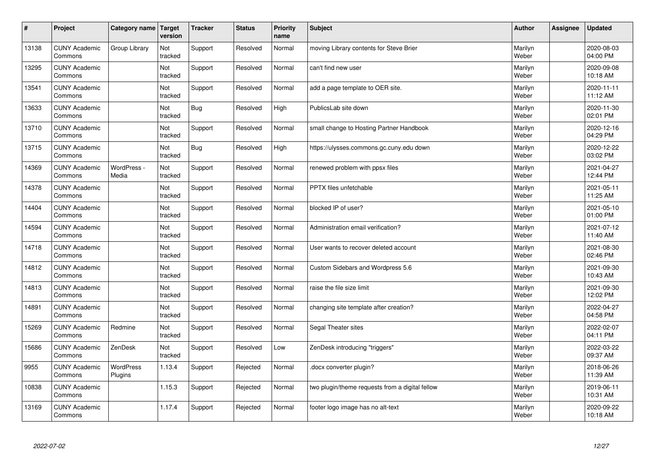| $\sharp$ | Project                         | Category name        | Target<br>version | <b>Tracker</b> | <b>Status</b> | <b>Priority</b><br>name | <b>Subject</b>                                  | <b>Author</b>    | Assignee | <b>Updated</b>         |
|----------|---------------------------------|----------------------|-------------------|----------------|---------------|-------------------------|-------------------------------------------------|------------------|----------|------------------------|
| 13138    | <b>CUNY Academic</b><br>Commons | Group Library        | Not<br>tracked    | Support        | Resolved      | Normal                  | moving Library contents for Steve Brier         | Marilyn<br>Weber |          | 2020-08-03<br>04:00 PM |
| 13295    | <b>CUNY Academic</b><br>Commons |                      | Not<br>tracked    | Support        | Resolved      | Normal                  | can't find new user                             | Marilyn<br>Weber |          | 2020-09-08<br>10:18 AM |
| 13541    | <b>CUNY Academic</b><br>Commons |                      | Not<br>tracked    | Support        | Resolved      | Normal                  | add a page template to OER site.                | Marilyn<br>Weber |          | 2020-11-11<br>11:12 AM |
| 13633    | <b>CUNY Academic</b><br>Commons |                      | Not<br>tracked    | <b>Bug</b>     | Resolved      | High                    | PublicsLab site down                            | Marilyn<br>Weber |          | 2020-11-30<br>02:01 PM |
| 13710    | <b>CUNY Academic</b><br>Commons |                      | Not<br>tracked    | Support        | Resolved      | Normal                  | small change to Hosting Partner Handbook        | Marilyn<br>Weber |          | 2020-12-16<br>04:29 PM |
| 13715    | <b>CUNY Academic</b><br>Commons |                      | Not<br>tracked    | Bug            | Resolved      | High                    | https://ulysses.commons.gc.cuny.edu down        | Marilyn<br>Weber |          | 2020-12-22<br>03:02 PM |
| 14369    | <b>CUNY Academic</b><br>Commons | WordPress -<br>Media | Not<br>tracked    | Support        | Resolved      | Normal                  | renewed problem with ppsx files                 | Marilyn<br>Weber |          | 2021-04-27<br>12:44 PM |
| 14378    | <b>CUNY Academic</b><br>Commons |                      | Not<br>tracked    | Support        | Resolved      | Normal                  | PPTX files unfetchable                          | Marilyn<br>Weber |          | 2021-05-11<br>11:25 AM |
| 14404    | <b>CUNY Academic</b><br>Commons |                      | Not<br>tracked    | Support        | Resolved      | Normal                  | blocked IP of user?                             | Marilyn<br>Weber |          | 2021-05-10<br>01:00 PM |
| 14594    | <b>CUNY Academic</b><br>Commons |                      | Not<br>tracked    | Support        | Resolved      | Normal                  | Administration email verification?              | Marilyn<br>Weber |          | 2021-07-12<br>11:40 AM |
| 14718    | <b>CUNY Academic</b><br>Commons |                      | Not<br>tracked    | Support        | Resolved      | Normal                  | User wants to recover deleted account           | Marilyn<br>Weber |          | 2021-08-30<br>02:46 PM |
| 14812    | <b>CUNY Academic</b><br>Commons |                      | Not<br>tracked    | Support        | Resolved      | Normal                  | Custom Sidebars and Wordpress 5.6               | Marilyn<br>Weber |          | 2021-09-30<br>10:43 AM |
| 14813    | <b>CUNY Academic</b><br>Commons |                      | Not<br>tracked    | Support        | Resolved      | Normal                  | raise the file size limit                       | Marilyn<br>Weber |          | 2021-09-30<br>12:02 PM |
| 14891    | <b>CUNY Academic</b><br>Commons |                      | Not<br>tracked    | Support        | Resolved      | Normal                  | changing site template after creation?          | Marilyn<br>Weber |          | 2022-04-27<br>04:58 PM |
| 15269    | <b>CUNY Academic</b><br>Commons | Redmine              | Not<br>tracked    | Support        | Resolved      | Normal                  | Segal Theater sites                             | Marilyn<br>Weber |          | 2022-02-07<br>04:11 PM |
| 15686    | <b>CUNY Academic</b><br>Commons | ZenDesk              | Not<br>tracked    | Support        | Resolved      | Low                     | ZenDesk introducing "triggers"                  | Marilyn<br>Weber |          | 2022-03-22<br>09:37 AM |
| 9955     | <b>CUNY Academic</b><br>Commons | WordPress<br>Plugins | 1.13.4            | Support        | Rejected      | Normal                  | docx converter plugin?                          | Marilyn<br>Weber |          | 2018-06-26<br>11:39 AM |
| 10838    | <b>CUNY Academic</b><br>Commons |                      | 1.15.3            | Support        | Rejected      | Normal                  | two plugin/theme requests from a digital fellow | Marilyn<br>Weber |          | 2019-06-11<br>10:31 AM |
| 13169    | <b>CUNY Academic</b><br>Commons |                      | 1.17.4            | Support        | Rejected      | Normal                  | footer logo image has no alt-text               | Marilyn<br>Weber |          | 2020-09-22<br>10:18 AM |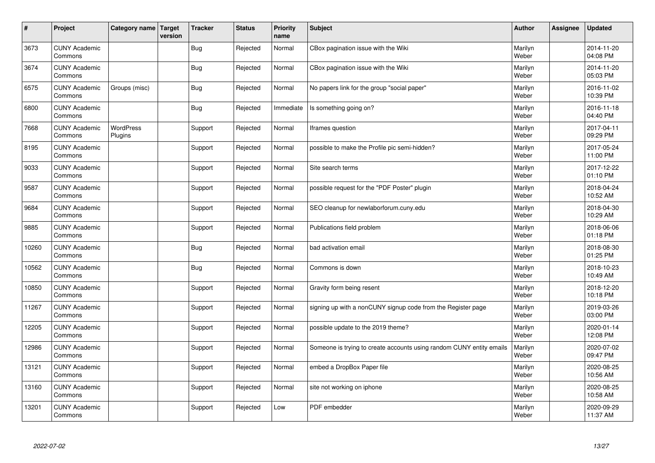| $\vert$ # | Project                         | Category name Target        | version | <b>Tracker</b> | <b>Status</b> | <b>Priority</b><br>name | <b>Subject</b>                                                       | <b>Author</b>    | <b>Assignee</b> | <b>Updated</b>         |
|-----------|---------------------------------|-----------------------------|---------|----------------|---------------|-------------------------|----------------------------------------------------------------------|------------------|-----------------|------------------------|
| 3673      | <b>CUNY Academic</b><br>Commons |                             |         | <b>Bug</b>     | Rejected      | Normal                  | CBox pagination issue with the Wiki                                  | Marilyn<br>Weber |                 | 2014-11-20<br>04:08 PM |
| 3674      | <b>CUNY Academic</b><br>Commons |                             |         | <b>Bug</b>     | Rejected      | Normal                  | CBox pagination issue with the Wiki                                  | Marilyn<br>Weber |                 | 2014-11-20<br>05:03 PM |
| 6575      | <b>CUNY Academic</b><br>Commons | Groups (misc)               |         | Bug            | Rejected      | Normal                  | No papers link for the group "social paper"                          | Marilyn<br>Weber |                 | 2016-11-02<br>10:39 PM |
| 6800      | <b>CUNY Academic</b><br>Commons |                             |         | Bug            | Rejected      | Immediate               | Is something going on?                                               | Marilyn<br>Weber |                 | 2016-11-18<br>04:40 PM |
| 7668      | <b>CUNY Academic</b><br>Commons | <b>WordPress</b><br>Plugins |         | Support        | Rejected      | Normal                  | Iframes question                                                     | Marilyn<br>Weber |                 | 2017-04-11<br>09:29 PM |
| 8195      | <b>CUNY Academic</b><br>Commons |                             |         | Support        | Rejected      | Normal                  | possible to make the Profile pic semi-hidden?                        | Marilyn<br>Weber |                 | 2017-05-24<br>11:00 PM |
| 9033      | <b>CUNY Academic</b><br>Commons |                             |         | Support        | Rejected      | Normal                  | Site search terms                                                    | Marilyn<br>Weber |                 | 2017-12-22<br>01:10 PM |
| 9587      | <b>CUNY Academic</b><br>Commons |                             |         | Support        | Rejected      | Normal                  | possible request for the "PDF Poster" plugin                         | Marilyn<br>Weber |                 | 2018-04-24<br>10:52 AM |
| 9684      | <b>CUNY Academic</b><br>Commons |                             |         | Support        | Rejected      | Normal                  | SEO cleanup for newlaborforum.cuny.edu                               | Marilyn<br>Weber |                 | 2018-04-30<br>10:29 AM |
| 9885      | <b>CUNY Academic</b><br>Commons |                             |         | Support        | Rejected      | Normal                  | Publications field problem                                           | Marilyn<br>Weber |                 | 2018-06-06<br>01:18 PM |
| 10260     | <b>CUNY Academic</b><br>Commons |                             |         | Bug            | Rejected      | Normal                  | bad activation email                                                 | Marilyn<br>Weber |                 | 2018-08-30<br>01:25 PM |
| 10562     | <b>CUNY Academic</b><br>Commons |                             |         | <b>Bug</b>     | Rejected      | Normal                  | Commons is down                                                      | Marilyn<br>Weber |                 | 2018-10-23<br>10:49 AM |
| 10850     | <b>CUNY Academic</b><br>Commons |                             |         | Support        | Rejected      | Normal                  | Gravity form being resent                                            | Marilyn<br>Weber |                 | 2018-12-20<br>10:18 PM |
| 11267     | <b>CUNY Academic</b><br>Commons |                             |         | Support        | Rejected      | Normal                  | signing up with a nonCUNY signup code from the Register page         | Marilyn<br>Weber |                 | 2019-03-26<br>03:00 PM |
| 12205     | <b>CUNY Academic</b><br>Commons |                             |         | Support        | Rejected      | Normal                  | possible update to the 2019 theme?                                   | Marilyn<br>Weber |                 | 2020-01-14<br>12:08 PM |
| 12986     | <b>CUNY Academic</b><br>Commons |                             |         | Support        | Rejected      | Normal                  | Someone is trying to create accounts using random CUNY entity emails | Marilyn<br>Weber |                 | 2020-07-02<br>09:47 PM |
| 13121     | <b>CUNY Academic</b><br>Commons |                             |         | Support        | Rejected      | Normal                  | embed a DropBox Paper file                                           | Marilyn<br>Weber |                 | 2020-08-25<br>10:56 AM |
| 13160     | <b>CUNY Academic</b><br>Commons |                             |         | Support        | Rejected      | Normal                  | site not working on iphone                                           | Marilyn<br>Weber |                 | 2020-08-25<br>10:58 AM |
| 13201     | <b>CUNY Academic</b><br>Commons |                             |         | Support        | Rejected      | Low                     | PDF embedder                                                         | Marilyn<br>Weber |                 | 2020-09-29<br>11:37 AM |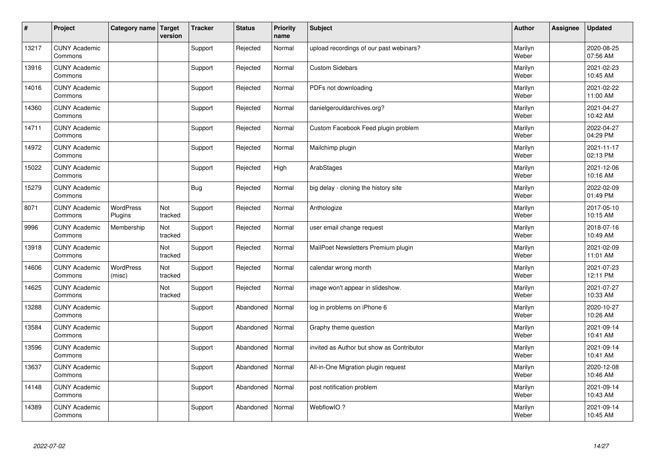| $\vert$ # | Project                         | Category name   Target      | version        | <b>Tracker</b> | <b>Status</b> | <b>Priority</b><br>name | <b>Subject</b>                            | <b>Author</b>    | <b>Assignee</b> | <b>Updated</b>         |
|-----------|---------------------------------|-----------------------------|----------------|----------------|---------------|-------------------------|-------------------------------------------|------------------|-----------------|------------------------|
| 13217     | <b>CUNY Academic</b><br>Commons |                             |                | Support        | Rejected      | Normal                  | upload recordings of our past webinars?   | Marilyn<br>Weber |                 | 2020-08-25<br>07:56 AM |
| 13916     | <b>CUNY Academic</b><br>Commons |                             |                | Support        | Rejected      | Normal                  | <b>Custom Sidebars</b>                    | Marilyn<br>Weber |                 | 2021-02-23<br>10:45 AM |
| 14016     | <b>CUNY Academic</b><br>Commons |                             |                | Support        | Rejected      | Normal                  | PDFs not downloading                      | Marilyn<br>Weber |                 | 2021-02-22<br>11:00 AM |
| 14360     | <b>CUNY Academic</b><br>Commons |                             |                | Support        | Rejected      | Normal                  | danielgerouldarchives.org?                | Marilyn<br>Weber |                 | 2021-04-27<br>10:42 AM |
| 14711     | <b>CUNY Academic</b><br>Commons |                             |                | Support        | Rejected      | Normal                  | Custom Facebook Feed plugin problem       | Marilyn<br>Weber |                 | 2022-04-27<br>04:29 PM |
| 14972     | <b>CUNY Academic</b><br>Commons |                             |                | Support        | Rejected      | Normal                  | Mailchimp plugin                          | Marilyn<br>Weber |                 | 2021-11-17<br>02:13 PM |
| 15022     | <b>CUNY Academic</b><br>Commons |                             |                | Support        | Rejected      | High                    | ArabStages                                | Marilyn<br>Weber |                 | 2021-12-06<br>10:16 AM |
| 15279     | <b>CUNY Academic</b><br>Commons |                             |                | <b>Bug</b>     | Rejected      | Normal                  | big delay - cloning the history site      | Marilyn<br>Weber |                 | 2022-02-09<br>01:49 PM |
| 8071      | <b>CUNY Academic</b><br>Commons | <b>WordPress</b><br>Plugins | Not<br>tracked | Support        | Rejected      | Normal                  | Anthologize                               | Marilyn<br>Weber |                 | 2017-05-10<br>10:15 AM |
| 9996      | <b>CUNY Academic</b><br>Commons | Membership                  | Not<br>tracked | Support        | Rejected      | Normal                  | user email change request                 | Marilyn<br>Weber |                 | 2018-07-16<br>10:49 AM |
| 13918     | <b>CUNY Academic</b><br>Commons |                             | Not<br>tracked | Support        | Rejected      | Normal                  | MailPoet Newsletters Premium plugin       | Marilyn<br>Weber |                 | 2021-02-09<br>11:01 AM |
| 14606     | <b>CUNY Academic</b><br>Commons | WordPress<br>(misc)         | Not<br>tracked | Support        | Rejected      | Normal                  | calendar wrong month                      | Marilyn<br>Weber |                 | 2021-07-23<br>12:11 PM |
| 14625     | <b>CUNY Academic</b><br>Commons |                             | Not<br>tracked | Support        | Rejected      | Normal                  | image won't appear in slideshow.          | Marilyn<br>Weber |                 | 2021-07-27<br>10:33 AM |
| 13288     | <b>CUNY Academic</b><br>Commons |                             |                | Support        | Abandoned     | Normal                  | log in problems on iPhone 6               | Marilyn<br>Weber |                 | 2020-10-27<br>10:26 AM |
| 13584     | <b>CUNY Academic</b><br>Commons |                             |                | Support        | Abandoned     | Normal                  | Graphy theme question                     | Marilyn<br>Weber |                 | 2021-09-14<br>10:41 AM |
| 13596     | <b>CUNY Academic</b><br>Commons |                             |                | Support        | Abandoned     | Normal                  | invited as Author but show as Contributor | Marilyn<br>Weber |                 | 2021-09-14<br>10:41 AM |
| 13637     | <b>CUNY Academic</b><br>Commons |                             |                | Support        | Abandoned     | Normal                  | All-in-One Migration plugin request       | Marilyn<br>Weber |                 | 2020-12-08<br>10:46 AM |
| 14148     | <b>CUNY Academic</b><br>Commons |                             |                | Support        | Abandoned     | Normal                  | post notification problem                 | Marilyn<br>Weber |                 | 2021-09-14<br>10:43 AM |
| 14389     | <b>CUNY Academic</b><br>Commons |                             |                | Support        | Abandoned     | Normal                  | WebflowIO?                                | Marilyn<br>Weber |                 | 2021-09-14<br>10:45 AM |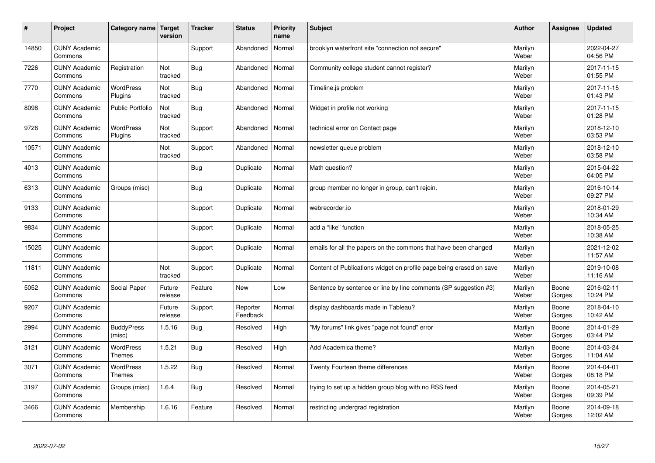| #     | Project                         | Category name   Target            | version           | <b>Tracker</b> | <b>Status</b>        | <b>Priority</b><br>name | <b>Subject</b>                                                      | <b>Author</b>    | Assignee        | <b>Updated</b>         |
|-------|---------------------------------|-----------------------------------|-------------------|----------------|----------------------|-------------------------|---------------------------------------------------------------------|------------------|-----------------|------------------------|
| 14850 | <b>CUNY Academic</b><br>Commons |                                   |                   | Support        | Abandoned            | Normal                  | brooklyn waterfront site "connection not secure"                    | Marilyn<br>Weber |                 | 2022-04-27<br>04:56 PM |
| 7226  | <b>CUNY Academic</b><br>Commons | Registration                      | Not<br>tracked    | Bug            | Abandoned            | Normal                  | Community college student cannot register?                          | Marilyn<br>Weber |                 | 2017-11-15<br>01:55 PM |
| 7770  | <b>CUNY Academic</b><br>Commons | <b>WordPress</b><br>Plugins       | Not<br>tracked    | Bug            | Abandoned            | Normal                  | Timeline.js problem                                                 | Marilyn<br>Weber |                 | 2017-11-15<br>01:43 PM |
| 8098  | <b>CUNY Academic</b><br>Commons | <b>Public Portfolio</b>           | Not<br>tracked    | Bug            | Abandoned            | Normal                  | Widget in profile not working                                       | Marilyn<br>Weber |                 | 2017-11-15<br>01:28 PM |
| 9726  | <b>CUNY Academic</b><br>Commons | <b>WordPress</b><br>Plugins       | Not<br>tracked    | Support        | Abandoned            | Normal                  | technical error on Contact page                                     | Marilyn<br>Weber |                 | 2018-12-10<br>03:53 PM |
| 10571 | <b>CUNY Academic</b><br>Commons |                                   | Not<br>tracked    | Support        | Abandoned            | Normal                  | newsletter queue problem                                            | Marilyn<br>Weber |                 | 2018-12-10<br>03:58 PM |
| 4013  | <b>CUNY Academic</b><br>Commons |                                   |                   | Bug            | Duplicate            | Normal                  | Math question?                                                      | Marilyn<br>Weber |                 | 2015-04-22<br>04:05 PM |
| 6313  | <b>CUNY Academic</b><br>Commons | Groups (misc)                     |                   | Bug            | Duplicate            | Normal                  | group member no longer in group, can't rejoin.                      | Marilyn<br>Weber |                 | 2016-10-14<br>09:27 PM |
| 9133  | <b>CUNY Academic</b><br>Commons |                                   |                   | Support        | Duplicate            | Normal                  | webrecorder.io                                                      | Marilyn<br>Weber |                 | 2018-01-29<br>10:34 AM |
| 9834  | <b>CUNY Academic</b><br>Commons |                                   |                   | Support        | Duplicate            | Normal                  | add a "like" function                                               | Marilyn<br>Weber |                 | 2018-05-25<br>10:38 AM |
| 15025 | <b>CUNY Academic</b><br>Commons |                                   |                   | Support        | Duplicate            | Normal                  | emails for all the papers on the commons that have been changed     | Marilyn<br>Weber |                 | 2021-12-02<br>11:57 AM |
| 11811 | <b>CUNY Academic</b><br>Commons |                                   | Not<br>tracked    | Support        | Duplicate            | Normal                  | Content of Publications widget on profile page being erased on save | Marilyn<br>Weber |                 | 2019-10-08<br>11:16 AM |
| 5052  | <b>CUNY Academic</b><br>Commons | Social Paper                      | Future<br>release | Feature        | <b>New</b>           | Low                     | Sentence by sentence or line by line comments (SP suggestion #3)    | Marilyn<br>Weber | Boone<br>Gorges | 2016-02-11<br>10:24 PM |
| 9207  | <b>CUNY Academic</b><br>Commons |                                   | Future<br>release | Support        | Reporter<br>Feedback | Normal                  | display dashboards made in Tableau?                                 | Marilyn<br>Weber | Boone<br>Gorges | 2018-04-10<br>10:42 AM |
| 2994  | <b>CUNY Academic</b><br>Commons | <b>BuddyPress</b><br>(misc)       | 1.5.16            | <b>Bug</b>     | Resolved             | High                    | "My forums" link gives "page not found" error                       | Marilyn<br>Weber | Boone<br>Gorges | 2014-01-29<br>03:44 PM |
| 3121  | <b>CUNY Academic</b><br>Commons | <b>WordPress</b><br><b>Themes</b> | 1.5.21            | Bug            | Resolved             | High                    | Add Academica theme?                                                | Marilyn<br>Weber | Boone<br>Gorges | 2014-03-24<br>11:04 AM |
| 3071  | <b>CUNY Academic</b><br>Commons | WordPress<br>Themes               | 1.5.22            | Bug            | Resolved             | Normal                  | Twenty Fourteen theme differences                                   | Marilyn<br>Weber | Boone<br>Gorges | 2014-04-01<br>08:18 PM |
| 3197  | <b>CUNY Academic</b><br>Commons | Groups (misc)                     | 1.6.4             | <b>Bug</b>     | Resolved             | Normal                  | trying to set up a hidden group blog with no RSS feed               | Marilyn<br>Weber | Boone<br>Gorges | 2014-05-21<br>09:39 PM |
| 3466  | <b>CUNY Academic</b><br>Commons | Membership                        | 1.6.16            | Feature        | Resolved             | Normal                  | restricting undergrad registration                                  | Marilyn<br>Weber | Boone<br>Gorges | 2014-09-18<br>12:02 AM |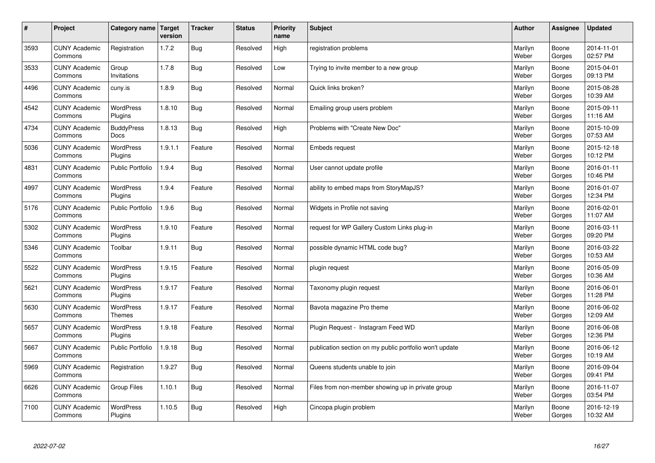| $\sharp$ | Project                         | Category name                     | Target<br>version | <b>Tracker</b> | <b>Status</b> | <b>Priority</b><br>name | <b>Subject</b>                                          | <b>Author</b>    | Assignee        | <b>Updated</b>         |
|----------|---------------------------------|-----------------------------------|-------------------|----------------|---------------|-------------------------|---------------------------------------------------------|------------------|-----------------|------------------------|
| 3593     | <b>CUNY Academic</b><br>Commons | Registration                      | 1.7.2             | Bug            | Resolved      | High                    | registration problems                                   | Marilyn<br>Weber | Boone<br>Gorges | 2014-11-01<br>02:57 PM |
| 3533     | <b>CUNY Academic</b><br>Commons | Group<br>Invitations              | 1.7.8             | Bug            | Resolved      | Low                     | Trying to invite member to a new group                  | Marilyn<br>Weber | Boone<br>Gorges | 2015-04-01<br>09:13 PM |
| 4496     | <b>CUNY Academic</b><br>Commons | cuny.is                           | 1.8.9             | <b>Bug</b>     | Resolved      | Normal                  | Quick links broken?                                     | Marilyn<br>Weber | Boone<br>Gorges | 2015-08-28<br>10:39 AM |
| 4542     | <b>CUNY Academic</b><br>Commons | <b>WordPress</b><br>Plugins       | 1.8.10            | <b>Bug</b>     | Resolved      | Normal                  | Emailing group users problem                            | Marilyn<br>Weber | Boone<br>Gorges | 2015-09-11<br>11:16 AM |
| 4734     | <b>CUNY Academic</b><br>Commons | <b>BuddyPress</b><br>Docs         | 1.8.13            | Bug            | Resolved      | High                    | Problems with "Create New Doc"                          | Marilyn<br>Weber | Boone<br>Gorges | 2015-10-09<br>07:53 AM |
| 5036     | <b>CUNY Academic</b><br>Commons | WordPress<br>Plugins              | 1.9.1.1           | Feature        | Resolved      | Normal                  | <b>Embeds request</b>                                   | Marilyn<br>Weber | Boone<br>Gorges | 2015-12-18<br>10:12 PM |
| 4831     | <b>CUNY Academic</b><br>Commons | Public Portfolio                  | 1.9.4             | <b>Bug</b>     | Resolved      | Normal                  | User cannot update profile                              | Marilyn<br>Weber | Boone<br>Gorges | 2016-01-11<br>10:46 PM |
| 4997     | <b>CUNY Academic</b><br>Commons | WordPress<br>Plugins              | 1.9.4             | Feature        | Resolved      | Normal                  | ability to embed maps from StoryMapJS?                  | Marilyn<br>Weber | Boone<br>Gorges | 2016-01-07<br>12:34 PM |
| 5176     | <b>CUNY Academic</b><br>Commons | <b>Public Portfolio</b>           | 1.9.6             | Bug            | Resolved      | Normal                  | Widgets in Profile not saving                           | Marilyn<br>Weber | Boone<br>Gorges | 2016-02-01<br>11:07 AM |
| 5302     | <b>CUNY Academic</b><br>Commons | WordPress<br>Plugins              | 1.9.10            | Feature        | Resolved      | Normal                  | request for WP Gallery Custom Links plug-in             | Marilyn<br>Weber | Boone<br>Gorges | 2016-03-11<br>09:20 PM |
| 5346     | <b>CUNY Academic</b><br>Commons | Toolbar                           | 1.9.11            | <b>Bug</b>     | Resolved      | Normal                  | possible dynamic HTML code bug?                         | Marilyn<br>Weber | Boone<br>Gorges | 2016-03-22<br>10:53 AM |
| 5522     | <b>CUNY Academic</b><br>Commons | <b>WordPress</b><br>Plugins       | 1.9.15            | Feature        | Resolved      | Normal                  | plugin request                                          | Marilyn<br>Weber | Boone<br>Gorges | 2016-05-09<br>10:36 AM |
| 5621     | <b>CUNY Academic</b><br>Commons | <b>WordPress</b><br>Plugins       | 1.9.17            | Feature        | Resolved      | Normal                  | Taxonomy plugin request                                 | Marilyn<br>Weber | Boone<br>Gorges | 2016-06-01<br>11:28 PM |
| 5630     | <b>CUNY Academic</b><br>Commons | <b>WordPress</b><br><b>Themes</b> | 1.9.17            | Feature        | Resolved      | Normal                  | Bavota magazine Pro theme                               | Marilyn<br>Weber | Boone<br>Gorges | 2016-06-02<br>12:09 AM |
| 5657     | <b>CUNY Academic</b><br>Commons | <b>WordPress</b><br>Plugins       | 1.9.18            | Feature        | Resolved      | Normal                  | Plugin Request - Instagram Feed WD                      | Marilyn<br>Weber | Boone<br>Gorges | 2016-06-08<br>12:36 PM |
| 5667     | <b>CUNY Academic</b><br>Commons | Public Portfolio                  | 1.9.18            | Bug            | Resolved      | Normal                  | publication section on my public portfolio won't update | Marilyn<br>Weber | Boone<br>Gorges | 2016-06-12<br>10:19 AM |
| 5969     | <b>CUNY Academic</b><br>Commons | Registration                      | 1.9.27            | Bug            | Resolved      | Normal                  | Queens students unable to join                          | Marilyn<br>Weber | Boone<br>Gorges | 2016-09-04<br>09:41 PM |
| 6626     | <b>CUNY Academic</b><br>Commons | Group Files                       | 1.10.1            | Bug            | Resolved      | Normal                  | Files from non-member showing up in private group       | Marilyn<br>Weber | Boone<br>Gorges | 2016-11-07<br>03:54 PM |
| 7100     | <b>CUNY Academic</b><br>Commons | <b>WordPress</b><br>Plugins       | 1.10.5            | Bug            | Resolved      | High                    | Cincopa plugin problem                                  | Marilyn<br>Weber | Boone<br>Gorges | 2016-12-19<br>10:32 AM |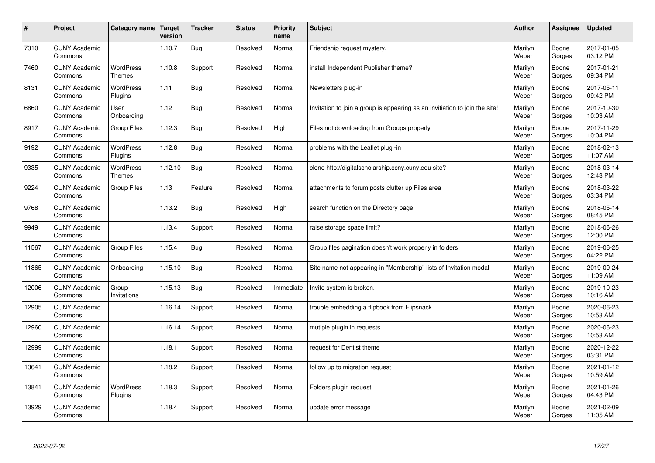| $\sharp$ | Project                         | Category name                     | Target<br>version | <b>Tracker</b> | <b>Status</b> | <b>Priority</b><br>name | <b>Subject</b>                                                              | <b>Author</b>    | Assignee        | <b>Updated</b>         |
|----------|---------------------------------|-----------------------------------|-------------------|----------------|---------------|-------------------------|-----------------------------------------------------------------------------|------------------|-----------------|------------------------|
| 7310     | <b>CUNY Academic</b><br>Commons |                                   | 1.10.7            | <b>Bug</b>     | Resolved      | Normal                  | Friendship request mystery.                                                 | Marilyn<br>Weber | Boone<br>Gorges | 2017-01-05<br>03:12 PM |
| 7460     | <b>CUNY Academic</b><br>Commons | <b>WordPress</b><br><b>Themes</b> | 1.10.8            | Support        | Resolved      | Normal                  | install Independent Publisher theme?                                        | Marilyn<br>Weber | Boone<br>Gorges | 2017-01-21<br>09:34 PM |
| 8131     | <b>CUNY Academic</b><br>Commons | <b>WordPress</b><br>Plugins       | 1.11              | Bug            | Resolved      | Normal                  | Newsletters plug-in                                                         | Marilyn<br>Weber | Boone<br>Gorges | 2017-05-11<br>09:42 PM |
| 6860     | <b>CUNY Academic</b><br>Commons | User<br>Onboarding                | 1.12              | Bug            | Resolved      | Normal                  | Invitation to join a group is appearing as an invitiation to join the site! | Marilyn<br>Weber | Boone<br>Gorges | 2017-10-30<br>10:03 AM |
| 8917     | <b>CUNY Academic</b><br>Commons | <b>Group Files</b>                | 1.12.3            | Bug            | Resolved      | High                    | Files not downloading from Groups properly                                  | Marilyn<br>Weber | Boone<br>Gorges | 2017-11-29<br>10:04 PM |
| 9192     | <b>CUNY Academic</b><br>Commons | WordPress<br>Plugins              | 1.12.8            | Bug            | Resolved      | Normal                  | problems with the Leaflet plug -in                                          | Marilyn<br>Weber | Boone<br>Gorges | 2018-02-13<br>11:07 AM |
| 9335     | <b>CUNY Academic</b><br>Commons | <b>WordPress</b><br><b>Themes</b> | 1.12.10           | Bug            | Resolved      | Normal                  | clone http://digitalscholarship.ccny.cuny.edu site?                         | Marilyn<br>Weber | Boone<br>Gorges | 2018-03-14<br>12:43 PM |
| 9224     | <b>CUNY Academic</b><br>Commons | <b>Group Files</b>                | 1.13              | Feature        | Resolved      | Normal                  | attachments to forum posts clutter up Files area                            | Marilyn<br>Weber | Boone<br>Gorges | 2018-03-22<br>03:34 PM |
| 9768     | <b>CUNY Academic</b><br>Commons |                                   | 1.13.2            | Bug            | Resolved      | High                    | search function on the Directory page                                       | Marilyn<br>Weber | Boone<br>Gorges | 2018-05-14<br>08:45 PM |
| 9949     | <b>CUNY Academic</b><br>Commons |                                   | 1.13.4            | Support        | Resolved      | Normal                  | raise storage space limit?                                                  | Marilyn<br>Weber | Boone<br>Gorges | 2018-06-26<br>12:00 PM |
| 11567    | <b>CUNY Academic</b><br>Commons | <b>Group Files</b>                | 1.15.4            | <b>Bug</b>     | Resolved      | Normal                  | Group files pagination doesn't work properly in folders                     | Marilyn<br>Weber | Boone<br>Gorges | 2019-06-25<br>04:22 PM |
| 11865    | <b>CUNY Academic</b><br>Commons | Onboarding                        | 1.15.10           | <b>Bug</b>     | Resolved      | Normal                  | Site name not appearing in "Membership" lists of Invitation modal           | Marilyn<br>Weber | Boone<br>Gorges | 2019-09-24<br>11:09 AM |
| 12006    | <b>CUNY Academic</b><br>Commons | Group<br>Invitations              | 1.15.13           | Bug            | Resolved      | Immediate               | Invite system is broken.                                                    | Marilyn<br>Weber | Boone<br>Gorges | 2019-10-23<br>10:16 AM |
| 12905    | <b>CUNY Academic</b><br>Commons |                                   | 1.16.14           | Support        | Resolved      | Normal                  | trouble embedding a flipbook from Flipsnack                                 | Marilyn<br>Weber | Boone<br>Gorges | 2020-06-23<br>10:53 AM |
| 12960    | <b>CUNY Academic</b><br>Commons |                                   | 1.16.14           | Support        | Resolved      | Normal                  | mutiple plugin in requests                                                  | Marilyn<br>Weber | Boone<br>Gorges | 2020-06-23<br>10:53 AM |
| 12999    | <b>CUNY Academic</b><br>Commons |                                   | 1.18.1            | Support        | Resolved      | Normal                  | request for Dentist theme                                                   | Marilyn<br>Weber | Boone<br>Gorges | 2020-12-22<br>03:31 PM |
| 13641    | <b>CUNY Academic</b><br>Commons |                                   | 1.18.2            | Support        | Resolved      | Normal                  | follow up to migration request                                              | Marilyn<br>Weber | Boone<br>Gorges | 2021-01-12<br>10:59 AM |
| 13841    | <b>CUNY Academic</b><br>Commons | <b>WordPress</b><br>Plugins       | 1.18.3            | Support        | Resolved      | Normal                  | Folders plugin request                                                      | Marilyn<br>Weber | Boone<br>Gorges | 2021-01-26<br>04:43 PM |
| 13929    | <b>CUNY Academic</b><br>Commons |                                   | 1.18.4            | Support        | Resolved      | Normal                  | update error message                                                        | Marilyn<br>Weber | Boone<br>Gorges | 2021-02-09<br>11:05 AM |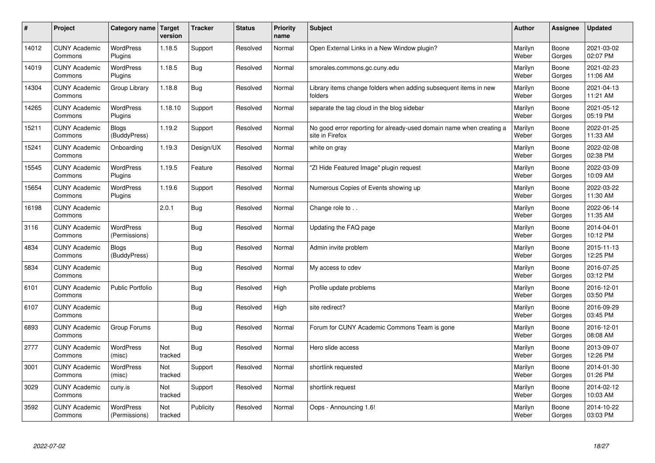| $\pmb{\#}$ | Project                         | Category name                     | Target<br>version | <b>Tracker</b> | <b>Status</b> | <b>Priority</b><br>name | <b>Subject</b>                                                                          | <b>Author</b>    | <b>Assignee</b> | <b>Updated</b>         |
|------------|---------------------------------|-----------------------------------|-------------------|----------------|---------------|-------------------------|-----------------------------------------------------------------------------------------|------------------|-----------------|------------------------|
| 14012      | <b>CUNY Academic</b><br>Commons | <b>WordPress</b><br>Plugins       | 1.18.5            | Support        | Resolved      | Normal                  | Open External Links in a New Window plugin?                                             | Marilyn<br>Weber | Boone<br>Gorges | 2021-03-02<br>02:07 PM |
| 14019      | <b>CUNY Academic</b><br>Commons | <b>WordPress</b><br>Plugins       | 1.18.5            | Bug            | Resolved      | Normal                  | smorales.commons.gc.cuny.edu                                                            | Marilyn<br>Weber | Boone<br>Gorges | 2021-02-23<br>11:06 AM |
| 14304      | <b>CUNY Academic</b><br>Commons | Group Library                     | 1.18.8            | <b>Bug</b>     | Resolved      | Normal                  | Library items change folders when adding subsequent items in new<br>folders             | Marilyn<br>Weber | Boone<br>Gorges | 2021-04-13<br>11:21 AM |
| 14265      | <b>CUNY Academic</b><br>Commons | <b>WordPress</b><br>Plugins       | 1.18.10           | Support        | Resolved      | Normal                  | separate the tag cloud in the blog sidebar                                              | Marilyn<br>Weber | Boone<br>Gorges | 2021-05-12<br>05:19 PM |
| 15211      | <b>CUNY Academic</b><br>Commons | <b>Blogs</b><br>(BuddyPress)      | 1.19.2            | Support        | Resolved      | Normal                  | No good error reporting for already-used domain name when creating a<br>site in Firefox | Marilyn<br>Weber | Boone<br>Gorges | 2022-01-25<br>11:33 AM |
| 15241      | <b>CUNY Academic</b><br>Commons | Onboarding                        | 1.19.3            | Design/UX      | Resolved      | Normal                  | white on gray                                                                           | Marilyn<br>Weber | Boone<br>Gorges | 2022-02-08<br>02:38 PM |
| 15545      | <b>CUNY Academic</b><br>Commons | WordPress<br>Plugins              | 1.19.5            | Feature        | Resolved      | Normal                  | 'ZI Hide Featured Image" plugin request                                                 | Marilyn<br>Weber | Boone<br>Gorges | 2022-03-09<br>10:09 AM |
| 15654      | <b>CUNY Academic</b><br>Commons | <b>WordPress</b><br>Plugins       | 1.19.6            | Support        | Resolved      | Normal                  | Numerous Copies of Events showing up                                                    | Marilyn<br>Weber | Boone<br>Gorges | 2022-03-22<br>11:30 AM |
| 16198      | <b>CUNY Academic</b><br>Commons |                                   | 2.0.1             | Bug            | Resolved      | Normal                  | Change role to                                                                          | Marilyn<br>Weber | Boone<br>Gorges | 2022-06-14<br>11:35 AM |
| 3116       | <b>CUNY Academic</b><br>Commons | <b>WordPress</b><br>(Permissions) |                   | <b>Bug</b>     | Resolved      | Normal                  | Updating the FAQ page                                                                   | Marilyn<br>Weber | Boone<br>Gorges | 2014-04-01<br>10:12 PM |
| 4834       | <b>CUNY Academic</b><br>Commons | <b>Blogs</b><br>(BuddyPress)      |                   | Bug            | Resolved      | Normal                  | Admin invite problem                                                                    | Marilyn<br>Weber | Boone<br>Gorges | 2015-11-13<br>12:25 PM |
| 5834       | <b>CUNY Academic</b><br>Commons |                                   |                   | Bug            | Resolved      | Normal                  | My access to cdev                                                                       | Marilyn<br>Weber | Boone<br>Gorges | 2016-07-25<br>03:12 PM |
| 6101       | <b>CUNY Academic</b><br>Commons | <b>Public Portfolio</b>           |                   | <b>Bug</b>     | Resolved      | High                    | Profile update problems                                                                 | Marilyn<br>Weber | Boone<br>Gorges | 2016-12-01<br>03:50 PM |
| 6107       | <b>CUNY Academic</b><br>Commons |                                   |                   | <b>Bug</b>     | Resolved      | High                    | site redirect?                                                                          | Marilyn<br>Weber | Boone<br>Gorges | 2016-09-29<br>03:45 PM |
| 6893       | <b>CUNY Academic</b><br>Commons | Group Forums                      |                   | <b>Bug</b>     | Resolved      | Normal                  | Forum for CUNY Academic Commons Team is gone                                            | Marilyn<br>Weber | Boone<br>Gorges | 2016-12-01<br>08:08 AM |
| 2777       | <b>CUNY Academic</b><br>Commons | <b>WordPress</b><br>(misc)        | Not<br>tracked    | Bug            | Resolved      | Normal                  | Hero slide access                                                                       | Marilyn<br>Weber | Boone<br>Gorges | 2013-09-07<br>12:26 PM |
| 3001       | <b>CUNY Academic</b><br>Commons | WordPress<br>(misc)               | Not<br>tracked    | Support        | Resolved      | Normal                  | shortlink requested                                                                     | Marilyn<br>Weber | Boone<br>Gorges | 2014-01-30<br>01:26 PM |
| 3029       | <b>CUNY Academic</b><br>Commons | cuny.is                           | Not<br>tracked    | Support        | Resolved      | Normal                  | shortlink request                                                                       | Marilyn<br>Weber | Boone<br>Gorges | 2014-02-12<br>10:03 AM |
| 3592       | <b>CUNY Academic</b><br>Commons | <b>WordPress</b><br>(Permissions) | Not<br>tracked    | Publicity      | Resolved      | Normal                  | Oops - Announcing 1.6!                                                                  | Marilyn<br>Weber | Boone<br>Gorges | 2014-10-22<br>03:03 PM |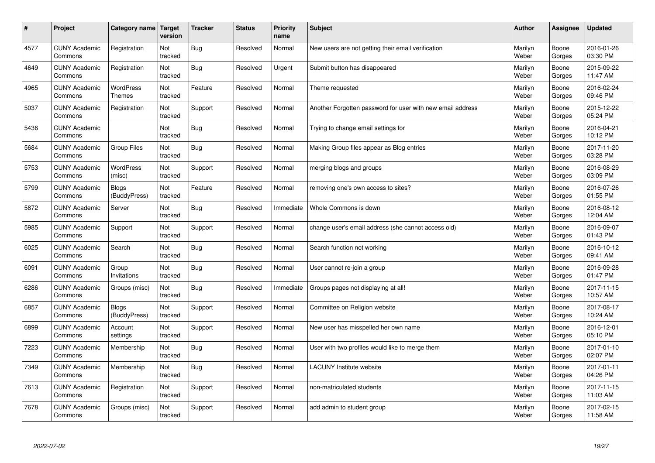| $\#$ | Project                         | Category name                     | Target<br>version | <b>Tracker</b> | <b>Status</b> | Priority<br>name | <b>Subject</b>                                             | <b>Author</b>    | <b>Assignee</b> | <b>Updated</b>         |
|------|---------------------------------|-----------------------------------|-------------------|----------------|---------------|------------------|------------------------------------------------------------|------------------|-----------------|------------------------|
| 4577 | <b>CUNY Academic</b><br>Commons | Registration                      | Not<br>tracked    | <b>Bug</b>     | Resolved      | Normal           | New users are not getting their email verification         | Marilyn<br>Weber | Boone<br>Gorges | 2016-01-26<br>03:30 PM |
| 4649 | <b>CUNY Academic</b><br>Commons | Registration                      | Not<br>tracked    | Bug            | Resolved      | Urgent           | Submit button has disappeared                              | Marilyn<br>Weber | Boone<br>Gorges | 2015-09-22<br>11:47 AM |
| 4965 | <b>CUNY Academic</b><br>Commons | <b>WordPress</b><br><b>Themes</b> | Not<br>tracked    | Feature        | Resolved      | Normal           | Theme requested                                            | Marilyn<br>Weber | Boone<br>Gorges | 2016-02-24<br>09:46 PM |
| 5037 | <b>CUNY Academic</b><br>Commons | Registration                      | Not<br>tracked    | Support        | Resolved      | Normal           | Another Forgotten password for user with new email address | Marilyn<br>Weber | Boone<br>Gorges | 2015-12-22<br>05:24 PM |
| 5436 | <b>CUNY Academic</b><br>Commons |                                   | Not<br>tracked    | Bug            | Resolved      | Normal           | Trying to change email settings for                        | Marilyn<br>Weber | Boone<br>Gorges | 2016-04-21<br>10:12 PM |
| 5684 | <b>CUNY Academic</b><br>Commons | <b>Group Files</b>                | Not<br>tracked    | Bug            | Resolved      | Normal           | Making Group files appear as Blog entries                  | Marilyn<br>Weber | Boone<br>Gorges | 2017-11-20<br>03:28 PM |
| 5753 | <b>CUNY Academic</b><br>Commons | <b>WordPress</b><br>(misc)        | Not<br>tracked    | Support        | Resolved      | Normal           | merging blogs and groups                                   | Marilyn<br>Weber | Boone<br>Gorges | 2016-08-29<br>03:09 PM |
| 5799 | <b>CUNY Academic</b><br>Commons | <b>Blogs</b><br>(BuddyPress)      | Not<br>tracked    | Feature        | Resolved      | Normal           | removing one's own access to sites?                        | Marilyn<br>Weber | Boone<br>Gorges | 2016-07-26<br>01:55 PM |
| 5872 | <b>CUNY Academic</b><br>Commons | Server                            | Not<br>tracked    | <b>Bug</b>     | Resolved      | Immediate        | Whole Commons is down                                      | Marilyn<br>Weber | Boone<br>Gorges | 2016-08-12<br>12:04 AM |
| 5985 | <b>CUNY Academic</b><br>Commons | Support                           | Not<br>tracked    | Support        | Resolved      | Normal           | change user's email address (she cannot access old)        | Marilyn<br>Weber | Boone<br>Gorges | 2016-09-07<br>01:43 PM |
| 6025 | <b>CUNY Academic</b><br>Commons | Search                            | Not<br>tracked    | Bug            | Resolved      | Normal           | Search function not working                                | Marilyn<br>Weber | Boone<br>Gorges | 2016-10-12<br>09:41 AM |
| 6091 | <b>CUNY Academic</b><br>Commons | Group<br>Invitations              | Not<br>tracked    | Bug            | Resolved      | Normal           | User cannot re-join a group                                | Marilyn<br>Weber | Boone<br>Gorges | 2016-09-28<br>01:47 PM |
| 6286 | <b>CUNY Academic</b><br>Commons | Groups (misc)                     | Not<br>tracked    | Bug            | Resolved      | Immediate        | Groups pages not displaying at all!                        | Marilyn<br>Weber | Boone<br>Gorges | 2017-11-15<br>10:57 AM |
| 6857 | <b>CUNY Academic</b><br>Commons | <b>Blogs</b><br>(BuddyPress)      | Not<br>tracked    | Support        | Resolved      | Normal           | Committee on Religion website                              | Marilyn<br>Weber | Boone<br>Gorges | 2017-08-17<br>10:24 AM |
| 6899 | <b>CUNY Academic</b><br>Commons | Account<br>settings               | Not<br>tracked    | Support        | Resolved      | Normal           | New user has misspelled her own name                       | Marilyn<br>Weber | Boone<br>Gorges | 2016-12-01<br>05:10 PM |
| 7223 | <b>CUNY Academic</b><br>Commons | Membership                        | Not<br>tracked    | Bug            | Resolved      | Normal           | User with two profiles would like to merge them            | Marilyn<br>Weber | Boone<br>Gorges | 2017-01-10<br>02:07 PM |
| 7349 | <b>CUNY Academic</b><br>Commons | Membership                        | Not<br>tracked    | Bug            | Resolved      | Normal           | <b>LACUNY</b> Institute website                            | Marilyn<br>Weber | Boone<br>Gorges | 2017-01-11<br>04:26 PM |
| 7613 | <b>CUNY Academic</b><br>Commons | Registration                      | Not<br>tracked    | Support        | Resolved      | Normal           | non-matriculated students                                  | Marilyn<br>Weber | Boone<br>Gorges | 2017-11-15<br>11:03 AM |
| 7678 | <b>CUNY Academic</b><br>Commons | Groups (misc)                     | Not<br>tracked    | Support        | Resolved      | Normal           | add admin to student group                                 | Marilyn<br>Weber | Boone<br>Gorges | 2017-02-15<br>11:58 AM |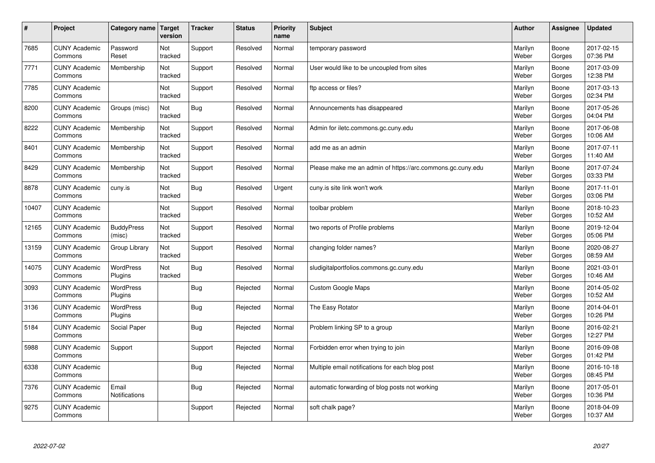| $\sharp$ | Project                         | Category name   Target        | version        | <b>Tracker</b> | <b>Status</b> | <b>Priority</b><br>name | <b>Subject</b>                                             | <b>Author</b>    | Assignee        | <b>Updated</b>         |
|----------|---------------------------------|-------------------------------|----------------|----------------|---------------|-------------------------|------------------------------------------------------------|------------------|-----------------|------------------------|
| 7685     | <b>CUNY Academic</b><br>Commons | Password<br>Reset             | Not<br>tracked | Support        | Resolved      | Normal                  | temporary password                                         | Marilyn<br>Weber | Boone<br>Gorges | 2017-02-15<br>07:36 PM |
| 7771     | <b>CUNY Academic</b><br>Commons | Membership                    | Not<br>tracked | Support        | Resolved      | Normal                  | User would like to be uncoupled from sites                 | Marilyn<br>Weber | Boone<br>Gorges | 2017-03-09<br>12:38 PM |
| 7785     | <b>CUNY Academic</b><br>Commons |                               | Not<br>tracked | Support        | Resolved      | Normal                  | ftp access or files?                                       | Marilyn<br>Weber | Boone<br>Gorges | 2017-03-13<br>02:34 PM |
| 8200     | <b>CUNY Academic</b><br>Commons | Groups (misc)                 | Not<br>tracked | Bug            | Resolved      | Normal                  | Announcements has disappeared                              | Marilyn<br>Weber | Boone<br>Gorges | 2017-05-26<br>04:04 PM |
| 8222     | <b>CUNY Academic</b><br>Commons | Membership                    | Not<br>tracked | Support        | Resolved      | Normal                  | Admin for iletc.commons.gc.cuny.edu                        | Marilyn<br>Weber | Boone<br>Gorges | 2017-06-08<br>10:06 AM |
| 8401     | <b>CUNY Academic</b><br>Commons | Membership                    | Not<br>tracked | Support        | Resolved      | Normal                  | add me as an admin                                         | Marilyn<br>Weber | Boone<br>Gorges | 2017-07-11<br>11:40 AM |
| 8429     | <b>CUNY Academic</b><br>Commons | Membership                    | Not<br>tracked | Support        | Resolved      | Normal                  | Please make me an admin of https://arc.commons.gc.cuny.edu | Marilyn<br>Weber | Boone<br>Gorges | 2017-07-24<br>03:33 PM |
| 8878     | <b>CUNY Academic</b><br>Commons | cuny.is                       | Not<br>tracked | <b>Bug</b>     | Resolved      | Urgent                  | cuny.is site link won't work                               | Marilyn<br>Weber | Boone<br>Gorges | 2017-11-01<br>03:06 PM |
| 10407    | <b>CUNY Academic</b><br>Commons |                               | Not<br>tracked | Support        | Resolved      | Normal                  | toolbar problem                                            | Marilyn<br>Weber | Boone<br>Gorges | 2018-10-23<br>10:52 AM |
| 12165    | <b>CUNY Academic</b><br>Commons | <b>BuddyPress</b><br>(misc)   | Not<br>tracked | Support        | Resolved      | Normal                  | two reports of Profile problems                            | Marilyn<br>Weber | Boone<br>Gorges | 2019-12-04<br>05:06 PM |
| 13159    | <b>CUNY Academic</b><br>Commons | Group Library                 | Not<br>tracked | Support        | Resolved      | Normal                  | changing folder names?                                     | Marilyn<br>Weber | Boone<br>Gorges | 2020-08-27<br>08:59 AM |
| 14075    | <b>CUNY Academic</b><br>Commons | <b>WordPress</b><br>Plugins   | Not<br>tracked | <b>Bug</b>     | Resolved      | Normal                  | sludigitalportfolios.commons.gc.cuny.edu                   | Marilyn<br>Weber | Boone<br>Gorges | 2021-03-01<br>10:46 AM |
| 3093     | <b>CUNY Academic</b><br>Commons | <b>WordPress</b><br>Plugins   |                | Bug            | Rejected      | Normal                  | <b>Custom Google Maps</b>                                  | Marilyn<br>Weber | Boone<br>Gorges | 2014-05-02<br>10:52 AM |
| 3136     | <b>CUNY Academic</b><br>Commons | WordPress<br>Plugins          |                | Bug            | Rejected      | Normal                  | The Easy Rotator                                           | Marilyn<br>Weber | Boone<br>Gorges | 2014-04-01<br>10:26 PM |
| 5184     | <b>CUNY Academic</b><br>Commons | Social Paper                  |                | <b>Bug</b>     | Rejected      | Normal                  | Problem linking SP to a group                              | Marilyn<br>Weber | Boone<br>Gorges | 2016-02-21<br>12:27 PM |
| 5988     | <b>CUNY Academic</b><br>Commons | Support                       |                | Support        | Rejected      | Normal                  | Forbidden error when trying to join                        | Marilyn<br>Weber | Boone<br>Gorges | 2016-09-08<br>01:42 PM |
| 6338     | <b>CUNY Academic</b><br>Commons |                               |                | Bug            | Rejected      | Normal                  | Multiple email notifications for each blog post            | Marilyn<br>Weber | Boone<br>Gorges | 2016-10-18<br>08:45 PM |
| 7376     | <b>CUNY Academic</b><br>Commons | Email<br><b>Notifications</b> |                | Bug            | Rejected      | Normal                  | automatic forwarding of blog posts not working             | Marilyn<br>Weber | Boone<br>Gorges | 2017-05-01<br>10:36 PM |
| 9275     | <b>CUNY Academic</b><br>Commons |                               |                | Support        | Rejected      | Normal                  | soft chalk page?                                           | Marilyn<br>Weber | Boone<br>Gorges | 2018-04-09<br>10:37 AM |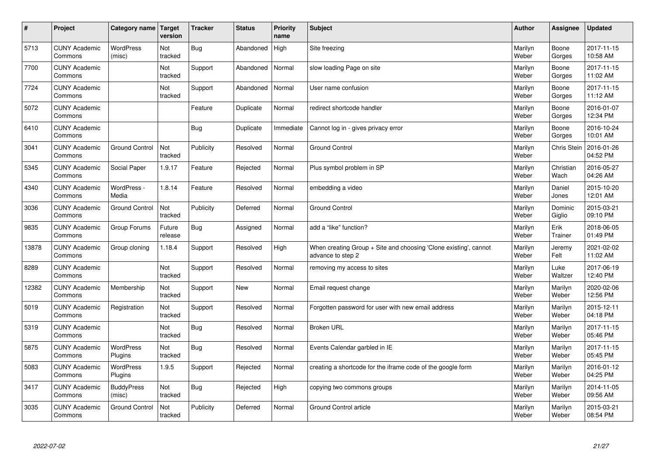| $\vert$ # | Project                         | Category name   Target      | version           | <b>Tracker</b> | <b>Status</b> | <b>Priority</b><br>name | <b>Subject</b>                                                                          | <b>Author</b>    | <b>Assignee</b>   | <b>Updated</b>         |
|-----------|---------------------------------|-----------------------------|-------------------|----------------|---------------|-------------------------|-----------------------------------------------------------------------------------------|------------------|-------------------|------------------------|
| 5713      | <b>CUNY Academic</b><br>Commons | <b>WordPress</b><br>(misc)  | Not<br>tracked    | <b>Bug</b>     | Abandoned     | High                    | Site freezing                                                                           | Marilyn<br>Weber | Boone<br>Gorges   | 2017-11-15<br>10:58 AM |
| 7700      | <b>CUNY Academic</b><br>Commons |                             | Not<br>tracked    | Support        | Abandoned     | Normal                  | slow loading Page on site                                                               | Marilyn<br>Weber | Boone<br>Gorges   | 2017-11-15<br>11:02 AM |
| 7724      | <b>CUNY Academic</b><br>Commons |                             | Not<br>tracked    | Support        | Abandoned     | Normal                  | User name confusion                                                                     | Marilyn<br>Weber | Boone<br>Gorges   | 2017-11-15<br>11:12 AM |
| 5072      | <b>CUNY Academic</b><br>Commons |                             |                   | Feature        | Duplicate     | Normal                  | redirect shortcode handler                                                              | Marilyn<br>Weber | Boone<br>Gorges   | 2016-01-07<br>12:34 PM |
| 6410      | <b>CUNY Academic</b><br>Commons |                             |                   | Bug            | Duplicate     | Immediate               | Cannot log in - gives privacy error                                                     | Marilyn<br>Weber | Boone<br>Gorges   | 2016-10-24<br>10:01 AM |
| 3041      | <b>CUNY Academic</b><br>Commons | <b>Ground Control</b>       | Not<br>tracked    | Publicity      | Resolved      | Normal                  | <b>Ground Control</b>                                                                   | Marilyn<br>Weber | Chris Stein       | 2016-01-26<br>04:52 PM |
| 5345      | <b>CUNY Academic</b><br>Commons | Social Paper                | 1.9.17            | Feature        | Rejected      | Normal                  | Plus symbol problem in SP                                                               | Marilyn<br>Weber | Christian<br>Wach | 2016-05-27<br>04:26 AM |
| 4340      | <b>CUNY Academic</b><br>Commons | WordPress -<br>Media        | 1.8.14            | Feature        | Resolved      | Normal                  | embedding a video                                                                       | Marilyn<br>Weber | Daniel<br>Jones   | 2015-10-20<br>12:01 AM |
| 3036      | <b>CUNY Academic</b><br>Commons | <b>Ground Control</b>       | Not<br>tracked    | Publicity      | Deferred      | Normal                  | <b>Ground Control</b>                                                                   | Marilyn<br>Weber | Dominic<br>Giglio | 2015-03-21<br>09:10 PM |
| 9835      | <b>CUNY Academic</b><br>Commons | Group Forums                | Future<br>release | Bug            | Assigned      | Normal                  | add a "like" function?                                                                  | Marilyn<br>Weber | Erik<br>Trainer   | 2018-06-05<br>01:49 PM |
| 13878     | <b>CUNY Academic</b><br>Commons | Group cloning               | 1.18.4            | Support        | Resolved      | High                    | When creating Group $+$ Site and choosing 'Clone existing', cannot<br>advance to step 2 | Marilyn<br>Weber | Jeremy<br>Felt    | 2021-02-02<br>11:02 AM |
| 8289      | <b>CUNY Academic</b><br>Commons |                             | Not<br>tracked    | Support        | Resolved      | Normal                  | removing my access to sites                                                             | Marilyn<br>Weber | Luke<br>Waltzer   | 2017-06-19<br>12:40 PM |
| 12382     | <b>CUNY Academic</b><br>Commons | Membership                  | Not<br>tracked    | Support        | New           | Normal                  | Email request change                                                                    | Marilyn<br>Weber | Marilyn<br>Weber  | 2020-02-06<br>12:56 PM |
| 5019      | <b>CUNY Academic</b><br>Commons | Registration                | Not<br>tracked    | Support        | Resolved      | Normal                  | Forgotten password for user with new email address                                      | Marilyn<br>Weber | Marilyn<br>Weber  | 2015-12-11<br>04:18 PM |
| 5319      | <b>CUNY Academic</b><br>Commons |                             | Not<br>tracked    | <b>Bug</b>     | Resolved      | Normal                  | <b>Broken URL</b>                                                                       | Marilyn<br>Weber | Marilyn<br>Weber  | 2017-11-15<br>05:46 PM |
| 5875      | <b>CUNY Academic</b><br>Commons | WordPress<br>Plugins        | Not<br>tracked    | <b>Bug</b>     | Resolved      | Normal                  | Events Calendar garbled in IE                                                           | Marilyn<br>Weber | Marilyn<br>Weber  | 2017-11-15<br>05:45 PM |
| 5083      | <b>CUNY Academic</b><br>Commons | <b>WordPress</b><br>Plugins | 1.9.5             | Support        | Rejected      | Normal                  | creating a shortcode for the iframe code of the google form                             | Marilyn<br>Weber | Marilyn<br>Weber  | 2016-01-12<br>04:25 PM |
| 3417      | <b>CUNY Academic</b><br>Commons | <b>BuddyPress</b><br>(misc) | Not<br>tracked    | <b>Bug</b>     | Rejected      | High                    | copying two commons groups                                                              | Marilyn<br>Weber | Marilyn<br>Weber  | 2014-11-05<br>09:56 AM |
| 3035      | <b>CUNY Academic</b><br>Commons | <b>Ground Control</b>       | Not<br>tracked    | Publicity      | Deferred      | Normal                  | <b>Ground Control article</b>                                                           | Marilyn<br>Weber | Marilyn<br>Weber  | 2015-03-21<br>08:54 PM |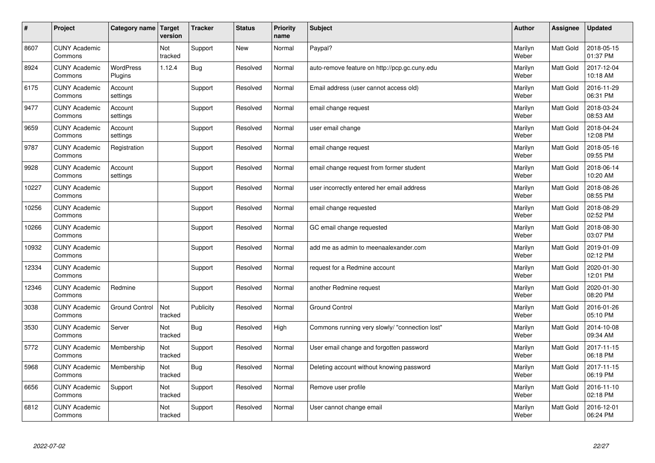| $\vert$ # | Project                         | Category name               | <b>Target</b><br>version | <b>Tracker</b> | <b>Status</b> | <b>Priority</b><br>name | <b>Subject</b>                                 | <b>Author</b>    | <b>Assignee</b>  | <b>Updated</b>         |
|-----------|---------------------------------|-----------------------------|--------------------------|----------------|---------------|-------------------------|------------------------------------------------|------------------|------------------|------------------------|
| 8607      | <b>CUNY Academic</b><br>Commons |                             | Not<br>tracked           | Support        | <b>New</b>    | Normal                  | Paypal?                                        | Marilyn<br>Weber | <b>Matt Gold</b> | 2018-05-15<br>01:37 PM |
| 8924      | <b>CUNY Academic</b><br>Commons | <b>WordPress</b><br>Plugins | 1.12.4                   | <b>Bug</b>     | Resolved      | Normal                  | auto-remove feature on http://pcp.gc.cuny.edu  | Marilyn<br>Weber | Matt Gold        | 2017-12-04<br>10:18 AM |
| 6175      | <b>CUNY Academic</b><br>Commons | Account<br>settings         |                          | Support        | Resolved      | Normal                  | Email address (user cannot access old)         | Marilyn<br>Weber | Matt Gold        | 2016-11-29<br>06:31 PM |
| 9477      | <b>CUNY Academic</b><br>Commons | Account<br>settings         |                          | Support        | Resolved      | Normal                  | email change request                           | Marilyn<br>Weber | Matt Gold        | 2018-03-24<br>08:53 AM |
| 9659      | <b>CUNY Academic</b><br>Commons | Account<br>settings         |                          | Support        | Resolved      | Normal                  | user email change                              | Marilyn<br>Weber | Matt Gold        | 2018-04-24<br>12:08 PM |
| 9787      | <b>CUNY Academic</b><br>Commons | Registration                |                          | Support        | Resolved      | Normal                  | email change request                           | Marilyn<br>Weber | Matt Gold        | 2018-05-16<br>09:55 PM |
| 9928      | <b>CUNY Academic</b><br>Commons | Account<br>settings         |                          | Support        | Resolved      | Normal                  | email change request from former student       | Marilyn<br>Weber | Matt Gold        | 2018-06-14<br>10:20 AM |
| 10227     | <b>CUNY Academic</b><br>Commons |                             |                          | Support        | Resolved      | Normal                  | user incorrectly entered her email address     | Marilyn<br>Weber | Matt Gold        | 2018-08-26<br>08:55 PM |
| 10256     | <b>CUNY Academic</b><br>Commons |                             |                          | Support        | Resolved      | Normal                  | email change requested                         | Marilyn<br>Weber | Matt Gold        | 2018-08-29<br>02:52 PM |
| 10266     | <b>CUNY Academic</b><br>Commons |                             |                          | Support        | Resolved      | Normal                  | GC email change requested                      | Marilyn<br>Weber | Matt Gold        | 2018-08-30<br>03:07 PM |
| 10932     | <b>CUNY Academic</b><br>Commons |                             |                          | Support        | Resolved      | Normal                  | add me as admin to meenaalexander.com          | Marilyn<br>Weber | Matt Gold        | 2019-01-09<br>02:12 PM |
| 12334     | <b>CUNY Academic</b><br>Commons |                             |                          | Support        | Resolved      | Normal                  | request for a Redmine account                  | Marilyn<br>Weber | Matt Gold        | 2020-01-30<br>12:01 PM |
| 12346     | <b>CUNY Academic</b><br>Commons | Redmine                     |                          | Support        | Resolved      | Normal                  | another Redmine request                        | Marilyn<br>Weber | <b>Matt Gold</b> | 2020-01-30<br>08:20 PM |
| 3038      | <b>CUNY Academic</b><br>Commons | <b>Ground Control</b>       | Not<br>tracked           | Publicity      | Resolved      | Normal                  | <b>Ground Control</b>                          | Marilyn<br>Weber | Matt Gold        | 2016-01-26<br>05:10 PM |
| 3530      | <b>CUNY Academic</b><br>Commons | Server                      | Not<br>tracked           | <b>Bug</b>     | Resolved      | High                    | Commons running very slowly/ "connection lost" | Marilyn<br>Weber | Matt Gold        | 2014-10-08<br>09:34 AM |
| 5772      | <b>CUNY Academic</b><br>Commons | Membership                  | Not<br>tracked           | Support        | Resolved      | Normal                  | User email change and forgotten password       | Marilyn<br>Weber | Matt Gold        | 2017-11-15<br>06:18 PM |
| 5968      | <b>CUNY Academic</b><br>Commons | Membership                  | Not<br>tracked           | <b>Bug</b>     | Resolved      | Normal                  | Deleting account without knowing password      | Marilyn<br>Weber | Matt Gold        | 2017-11-15<br>06:19 PM |
| 6656      | <b>CUNY Academic</b><br>Commons | Support                     | Not<br>tracked           | Support        | Resolved      | Normal                  | Remove user profile                            | Marilyn<br>Weber | <b>Matt Gold</b> | 2016-11-10<br>02:18 PM |
| 6812      | <b>CUNY Academic</b><br>Commons |                             | Not<br>tracked           | Support        | Resolved      | Normal                  | User cannot change email                       | Marilyn<br>Weber | <b>Matt Gold</b> | 2016-12-01<br>06:24 PM |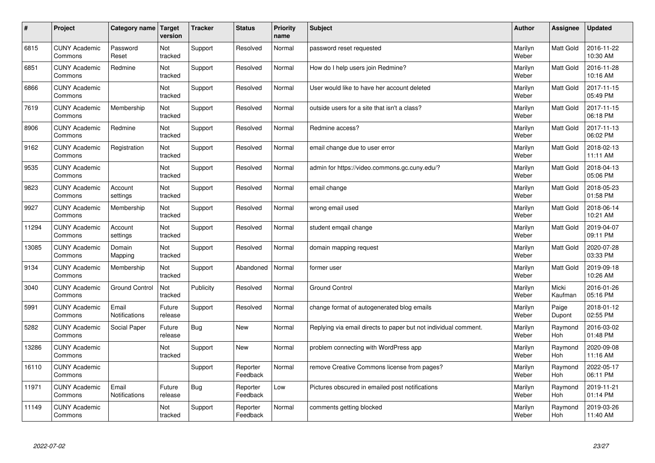| #     | Project                         | Category name                 | Target<br>version | <b>Tracker</b> | <b>Status</b>        | <b>Priority</b><br>name | <b>Subject</b>                                                  | <b>Author</b>    | Assignee         | <b>Updated</b>         |
|-------|---------------------------------|-------------------------------|-------------------|----------------|----------------------|-------------------------|-----------------------------------------------------------------|------------------|------------------|------------------------|
| 6815  | <b>CUNY Academic</b><br>Commons | Password<br>Reset             | Not<br>tracked    | Support        | Resolved             | Normal                  | password reset requested                                        | Marilyn<br>Weber | <b>Matt Gold</b> | 2016-11-22<br>10:30 AM |
| 6851  | <b>CUNY Academic</b><br>Commons | Redmine                       | Not<br>tracked    | Support        | Resolved             | Normal                  | How do I help users join Redmine?                               | Marilyn<br>Weber | <b>Matt Gold</b> | 2016-11-28<br>10:16 AM |
| 6866  | <b>CUNY Academic</b><br>Commons |                               | Not<br>tracked    | Support        | Resolved             | Normal                  | User would like to have her account deleted                     | Marilyn<br>Weber | <b>Matt Gold</b> | 2017-11-15<br>05:49 PM |
| 7619  | <b>CUNY Academic</b><br>Commons | Membership                    | Not<br>tracked    | Support        | Resolved             | Normal                  | outside users for a site that isn't a class?                    | Marilyn<br>Weber | Matt Gold        | 2017-11-15<br>06:18 PM |
| 8906  | <b>CUNY Academic</b><br>Commons | Redmine                       | Not<br>tracked    | Support        | Resolved             | Normal                  | Redmine access?                                                 | Marilyn<br>Weber | <b>Matt Gold</b> | 2017-11-13<br>06:02 PM |
| 9162  | <b>CUNY Academic</b><br>Commons | Registration                  | Not<br>tracked    | Support        | Resolved             | Normal                  | email change due to user error                                  | Marilyn<br>Weber | Matt Gold        | 2018-02-13<br>11:11 AM |
| 9535  | <b>CUNY Academic</b><br>Commons |                               | Not<br>tracked    | Support        | Resolved             | Normal                  | admin for https://video.commons.gc.cuny.edu/?                   | Marilyn<br>Weber | Matt Gold        | 2018-04-13<br>05:06 PM |
| 9823  | <b>CUNY Academic</b><br>Commons | Account<br>settings           | Not<br>tracked    | Support        | Resolved             | Normal                  | email change                                                    | Marilyn<br>Weber | Matt Gold        | 2018-05-23<br>01:58 PM |
| 9927  | <b>CUNY Academic</b><br>Commons | Membership                    | Not<br>tracked    | Support        | Resolved             | Normal                  | wrong email used                                                | Marilyn<br>Weber | <b>Matt Gold</b> | 2018-06-14<br>10:21 AM |
| 11294 | <b>CUNY Academic</b><br>Commons | Account<br>settings           | Not<br>tracked    | Support        | Resolved             | Normal                  | student emgail change                                           | Marilyn<br>Weber | Matt Gold        | 2019-04-07<br>09:11 PM |
| 13085 | <b>CUNY Academic</b><br>Commons | Domain<br>Mapping             | Not<br>tracked    | Support        | Resolved             | Normal                  | domain mapping request                                          | Marilyn<br>Weber | Matt Gold        | 2020-07-28<br>03:33 PM |
| 9134  | <b>CUNY Academic</b><br>Commons | Membership                    | Not<br>tracked    | Support        | Abandoned            | Normal                  | former user                                                     | Marilyn<br>Weber | Matt Gold        | 2019-09-18<br>10:26 AM |
| 3040  | <b>CUNY Academic</b><br>Commons | <b>Ground Control</b>         | Not<br>tracked    | Publicity      | Resolved             | Normal                  | <b>Ground Control</b>                                           | Marilyn<br>Weber | Micki<br>Kaufman | 2016-01-26<br>05:16 PM |
| 5991  | <b>CUNY Academic</b><br>Commons | Email<br><b>Notifications</b> | Future<br>release | Support        | Resolved             | Normal                  | change format of autogenerated blog emails                      | Marilyn<br>Weber | Paige<br>Dupont  | 2018-01-12<br>02:55 PM |
| 5282  | <b>CUNY Academic</b><br>Commons | Social Paper                  | Future<br>release | <b>Bug</b>     | <b>New</b>           | Normal                  | Replying via email directs to paper but not individual comment. | Marilyn<br>Weber | Raymond<br>Hoh   | 2016-03-02<br>01:48 PM |
| 13286 | <b>CUNY Academic</b><br>Commons |                               | Not<br>tracked    | Support        | <b>New</b>           | Normal                  | problem connecting with WordPress app                           | Marilyn<br>Weber | Raymond<br>Hoh   | 2020-09-08<br>11:16 AM |
| 16110 | <b>CUNY Academic</b><br>Commons |                               |                   | Support        | Reporter<br>Feedback | Normal                  | remove Creative Commons license from pages?                     | Marilyn<br>Weber | Raymond<br>Hoh   | 2022-05-17<br>06:11 PM |
| 11971 | <b>CUNY Academic</b><br>Commons | Email<br>Notifications        | Future<br>release | <b>Bug</b>     | Reporter<br>Feedback | Low                     | Pictures obscured in emailed post notifications                 | Marilyn<br>Weber | Raymond<br>Hoh   | 2019-11-21<br>01:14 PM |
| 11149 | <b>CUNY Academic</b><br>Commons |                               | Not<br>tracked    | Support        | Reporter<br>Feedback | Normal                  | comments getting blocked                                        | Marilyn<br>Weber | Raymond<br>Hoh   | 2019-03-26<br>11:40 AM |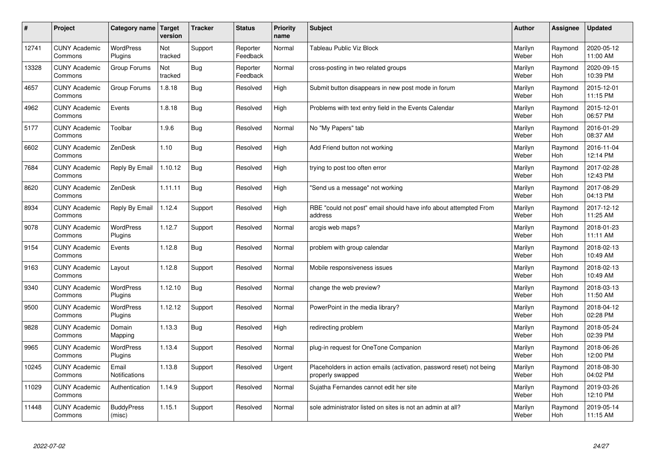| $\sharp$ | Project                         | Category name                 | Target<br>version | <b>Tracker</b> | <b>Status</b>        | <b>Priority</b><br>name | <b>Subject</b>                                                                           | <b>Author</b>    | Assignee       | <b>Updated</b>         |
|----------|---------------------------------|-------------------------------|-------------------|----------------|----------------------|-------------------------|------------------------------------------------------------------------------------------|------------------|----------------|------------------------|
| 12741    | <b>CUNY Academic</b><br>Commons | <b>WordPress</b><br>Plugins   | Not<br>tracked    | Support        | Reporter<br>Feedback | Normal                  | <b>Tableau Public Viz Block</b>                                                          | Marilyn<br>Weber | Raymond<br>Hoh | 2020-05-12<br>11:00 AM |
| 13328    | <b>CUNY Academic</b><br>Commons | Group Forums                  | Not<br>tracked    | Bug            | Reporter<br>Feedback | Normal                  | cross-posting in two related groups                                                      | Marilyn<br>Weber | Raymond<br>Hoh | 2020-09-15<br>10:39 PM |
| 4657     | <b>CUNY Academic</b><br>Commons | Group Forums                  | 1.8.18            | <b>Bug</b>     | Resolved             | High                    | Submit button disappears in new post mode in forum                                       | Marilyn<br>Weber | Raymond<br>Hoh | 2015-12-01<br>11:15 PM |
| 4962     | <b>CUNY Academic</b><br>Commons | Events                        | 1.8.18            | Bug            | Resolved             | High                    | Problems with text entry field in the Events Calendar                                    | Marilyn<br>Weber | Raymond<br>Hoh | 2015-12-01<br>06:57 PM |
| 5177     | <b>CUNY Academic</b><br>Commons | Toolbar                       | 1.9.6             | <b>Bug</b>     | Resolved             | Normal                  | No "My Papers" tab                                                                       | Marilyn<br>Weber | Raymond<br>Hoh | 2016-01-29<br>08:37 AM |
| 6602     | <b>CUNY Academic</b><br>Commons | ZenDesk                       | 1.10              | <b>Bug</b>     | Resolved             | High                    | Add Friend button not working                                                            | Marilyn<br>Weber | Raymond<br>Hoh | 2016-11-04<br>12:14 PM |
| 7684     | <b>CUNY Academic</b><br>Commons | Reply By Email                | 1.10.12           | Bug            | Resolved             | High                    | trying to post too often error                                                           | Marilyn<br>Weber | Raymond<br>Hoh | 2017-02-28<br>12:43 PM |
| 8620     | <b>CUNY Academic</b><br>Commons | ZenDesk                       | 1.11.11           | Bug            | Resolved             | High                    | 'Send us a message" not working                                                          | Marilyn<br>Weber | Raymond<br>Hoh | 2017-08-29<br>04:13 PM |
| 8934     | <b>CUNY Academic</b><br>Commons | Reply By Email                | 1.12.4            | Support        | Resolved             | High                    | RBE "could not post" email should have info about attempted From<br>address              | Marilyn<br>Weber | Raymond<br>Hoh | 2017-12-12<br>11:25 AM |
| 9078     | <b>CUNY Academic</b><br>Commons | <b>WordPress</b><br>Plugins   | 1.12.7            | Support        | Resolved             | Normal                  | arcgis web maps?                                                                         | Marilyn<br>Weber | Raymond<br>Hoh | 2018-01-23<br>11:11 AM |
| 9154     | <b>CUNY Academic</b><br>Commons | Events                        | 1.12.8            | Bug            | Resolved             | Normal                  | problem with group calendar                                                              | Marilyn<br>Weber | Raymond<br>Hoh | 2018-02-13<br>10:49 AM |
| 9163     | <b>CUNY Academic</b><br>Commons | Layout                        | 1.12.8            | Support        | Resolved             | Normal                  | Mobile responsiveness issues                                                             | Marilyn<br>Weber | Raymond<br>Hoh | 2018-02-13<br>10:49 AM |
| 9340     | <b>CUNY Academic</b><br>Commons | <b>WordPress</b><br>Plugins   | 1.12.10           | Bug            | Resolved             | Normal                  | change the web preview?                                                                  | Marilyn<br>Weber | Raymond<br>Hoh | 2018-03-13<br>11:50 AM |
| 9500     | <b>CUNY Academic</b><br>Commons | <b>WordPress</b><br>Plugins   | 1.12.12           | Support        | Resolved             | Normal                  | PowerPoint in the media library?                                                         | Marilyn<br>Weber | Raymond<br>Hoh | 2018-04-12<br>02:28 PM |
| 9828     | <b>CUNY Academic</b><br>Commons | Domain<br>Mapping             | 1.13.3            | <b>Bug</b>     | Resolved             | High                    | redirecting problem                                                                      | Marilyn<br>Weber | Raymond<br>Hoh | 2018-05-24<br>02:39 PM |
| 9965     | <b>CUNY Academic</b><br>Commons | <b>WordPress</b><br>Plugins   | 1.13.4            | Support        | Resolved             | Normal                  | plug-in request for OneTone Companion                                                    | Marilyn<br>Weber | Raymond<br>Hoh | 2018-06-26<br>12:00 PM |
| 10245    | <b>CUNY Academic</b><br>Commons | Email<br><b>Notifications</b> | 1.13.8            | Support        | Resolved             | Urgent                  | Placeholders in action emails (activation, password reset) not being<br>properly swapped | Marilyn<br>Weber | Raymond<br>Hoh | 2018-08-30<br>04:02 PM |
| 11029    | <b>CUNY Academic</b><br>Commons | Authentication                | 1.14.9            | Support        | Resolved             | Normal                  | Sujatha Fernandes cannot edit her site                                                   | Marilyn<br>Weber | Raymond<br>Hoh | 2019-03-26<br>12:10 PM |
| 11448    | <b>CUNY Academic</b><br>Commons | <b>BuddyPress</b><br>(misc)   | 1.15.1            | Support        | Resolved             | Normal                  | sole administrator listed on sites is not an admin at all?                               | Marilyn<br>Weber | Raymond<br>Hoh | 2019-05-14<br>11:15 AM |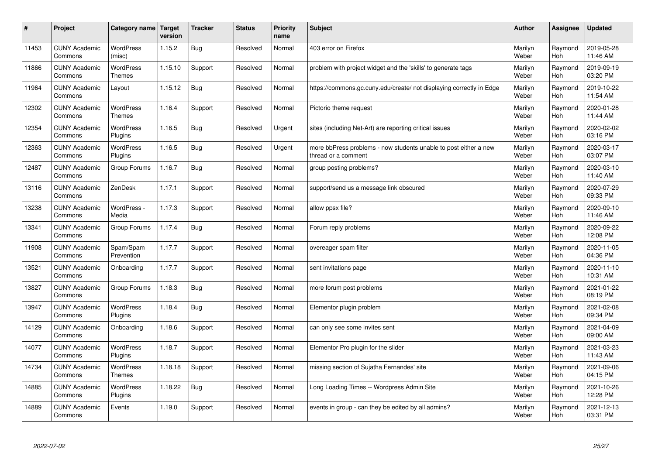| $\sharp$ | Project                         | Category name                     | <b>Target</b><br>version | <b>Tracker</b> | <b>Status</b> | <b>Priority</b><br>name | <b>Subject</b>                                                                          | <b>Author</b>    | Assignee       | <b>Updated</b>         |
|----------|---------------------------------|-----------------------------------|--------------------------|----------------|---------------|-------------------------|-----------------------------------------------------------------------------------------|------------------|----------------|------------------------|
| 11453    | <b>CUNY Academic</b><br>Commons | <b>WordPress</b><br>(misc)        | 1.15.2                   | Bug            | Resolved      | Normal                  | 403 error on Firefox                                                                    | Marilyn<br>Weber | Raymond<br>Hoh | 2019-05-28<br>11:46 AM |
| 11866    | <b>CUNY Academic</b><br>Commons | <b>WordPress</b><br>Themes        | 1.15.10                  | Support        | Resolved      | Normal                  | problem with project widget and the 'skills' to generate tags                           | Marilyn<br>Weber | Raymond<br>Hoh | 2019-09-19<br>03:20 PM |
| 11964    | <b>CUNY Academic</b><br>Commons | Layout                            | 1.15.12                  | <b>Bug</b>     | Resolved      | Normal                  | https://commons.gc.cuny.edu/create/ not displaying correctly in Edge                    | Marilyn<br>Weber | Raymond<br>Hoh | 2019-10-22<br>11:54 AM |
| 12302    | <b>CUNY Academic</b><br>Commons | <b>WordPress</b><br><b>Themes</b> | 1.16.4                   | Support        | Resolved      | Normal                  | Pictorio theme request                                                                  | Marilyn<br>Weber | Raymond<br>Hoh | 2020-01-28<br>11:44 AM |
| 12354    | <b>CUNY Academic</b><br>Commons | <b>WordPress</b><br>Plugins       | 1.16.5                   | <b>Bug</b>     | Resolved      | Urgent                  | sites (including Net-Art) are reporting critical issues                                 | Marilyn<br>Weber | Raymond<br>Hoh | 2020-02-02<br>03:16 PM |
| 12363    | <b>CUNY Academic</b><br>Commons | WordPress<br>Plugins              | 1.16.5                   | Bug            | Resolved      | Urgent                  | more bbPress problems - now students unable to post either a new<br>thread or a comment | Marilyn<br>Weber | Raymond<br>Hoh | 2020-03-17<br>03:07 PM |
| 12487    | <b>CUNY Academic</b><br>Commons | Group Forums                      | 1.16.7                   | <b>Bug</b>     | Resolved      | Normal                  | group posting problems?                                                                 | Marilyn<br>Weber | Raymond<br>Hoh | 2020-03-10<br>11:40 AM |
| 13116    | <b>CUNY Academic</b><br>Commons | ZenDesk                           | 1.17.1                   | Support        | Resolved      | Normal                  | support/send us a message link obscured                                                 | Marilyn<br>Weber | Raymond<br>Hoh | 2020-07-29<br>09:33 PM |
| 13238    | <b>CUNY Academic</b><br>Commons | WordPress -<br>Media              | 1.17.3                   | Support        | Resolved      | Normal                  | allow ppsx file?                                                                        | Marilyn<br>Weber | Raymond<br>Hoh | 2020-09-10<br>11:46 AM |
| 13341    | <b>CUNY Academic</b><br>Commons | Group Forums                      | 1.17.4                   | <b>Bug</b>     | Resolved      | Normal                  | Forum reply problems                                                                    | Marilyn<br>Weber | Raymond<br>Hoh | 2020-09-22<br>12:08 PM |
| 11908    | <b>CUNY Academic</b><br>Commons | Spam/Spam<br>Prevention           | 1.17.7                   | Support        | Resolved      | Normal                  | overeager spam filter                                                                   | Marilyn<br>Weber | Raymond<br>Hoh | 2020-11-05<br>04:36 PM |
| 13521    | <b>CUNY Academic</b><br>Commons | Onboarding                        | 1.17.7                   | Support        | Resolved      | Normal                  | sent invitations page                                                                   | Marilyn<br>Weber | Raymond<br>Hoh | 2020-11-10<br>10:31 AM |
| 13827    | <b>CUNY Academic</b><br>Commons | Group Forums                      | 1.18.3                   | <b>Bug</b>     | Resolved      | Normal                  | more forum post problems                                                                | Marilyn<br>Weber | Raymond<br>Hoh | 2021-01-22<br>08:19 PM |
| 13947    | <b>CUNY Academic</b><br>Commons | WordPress<br>Plugins              | 1.18.4                   | <b>Bug</b>     | Resolved      | Normal                  | Elementor plugin problem                                                                | Marilyn<br>Weber | Raymond<br>Hoh | 2021-02-08<br>09:34 PM |
| 14129    | <b>CUNY Academic</b><br>Commons | Onboarding                        | 1.18.6                   | Support        | Resolved      | Normal                  | can only see some invites sent                                                          | Marilyn<br>Weber | Raymond<br>Hoh | 2021-04-09<br>09:00 AM |
| 14077    | <b>CUNY Academic</b><br>Commons | <b>WordPress</b><br>Plugins       | 1.18.7                   | Support        | Resolved      | Normal                  | Elementor Pro plugin for the slider                                                     | Marilyn<br>Weber | Raymond<br>Hoh | 2021-03-23<br>11:43 AM |
| 14734    | <b>CUNY Academic</b><br>Commons | WordPress<br>Themes               | 1.18.18                  | Support        | Resolved      | Normal                  | missing section of Sujatha Fernandes' site                                              | Marilyn<br>Weber | Raymond<br>Hoh | 2021-09-06<br>04:15 PM |
| 14885    | <b>CUNY Academic</b><br>Commons | WordPress<br>Plugins              | 1.18.22                  | <b>Bug</b>     | Resolved      | Normal                  | Long Loading Times -- Wordpress Admin Site                                              | Marilyn<br>Weber | Raymond<br>Hoh | 2021-10-26<br>12:28 PM |
| 14889    | <b>CUNY Academic</b><br>Commons | Events                            | 1.19.0                   | Support        | Resolved      | Normal                  | events in group - can they be edited by all admins?                                     | Marilyn<br>Weber | Raymond<br>Hoh | 2021-12-13<br>03:31 PM |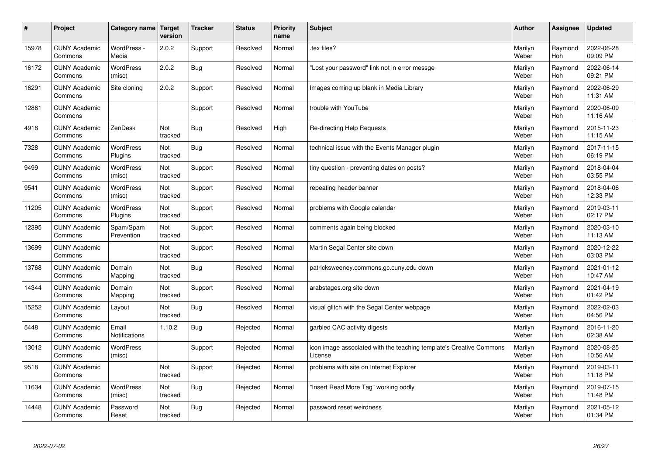| #     | Project                         | Category name                 | <b>Target</b><br>version | <b>Tracker</b> | <b>Status</b> | <b>Priority</b><br>name | <b>Subject</b>                                                                 | <b>Author</b>    | Assignee              | <b>Updated</b>         |
|-------|---------------------------------|-------------------------------|--------------------------|----------------|---------------|-------------------------|--------------------------------------------------------------------------------|------------------|-----------------------|------------------------|
| 15978 | <b>CUNY Academic</b><br>Commons | WordPress -<br>Media          | 2.0.2                    | Support        | Resolved      | Normal                  | tex files?                                                                     | Marilyn<br>Weber | Raymond<br>Hoh        | 2022-06-28<br>09:09 PM |
| 16172 | <b>CUNY Academic</b><br>Commons | WordPress<br>(misc)           | 2.0.2                    | Bug            | Resolved      | Normal                  | 'Lost your password" link not in error messge                                  | Marilyn<br>Weber | Raymond<br>Hoh        | 2022-06-14<br>09:21 PM |
| 16291 | <b>CUNY Academic</b><br>Commons | Site cloning                  | 2.0.2                    | Support        | Resolved      | Normal                  | Images coming up blank in Media Library                                        | Marilyn<br>Weber | Raymond<br>Hoh        | 2022-06-29<br>11:31 AM |
| 12861 | <b>CUNY Academic</b><br>Commons |                               |                          | Support        | Resolved      | Normal                  | trouble with YouTube                                                           | Marilyn<br>Weber | Raymond<br><b>Hoh</b> | 2020-06-09<br>11:16 AM |
| 4918  | <b>CUNY Academic</b><br>Commons | ZenDesk                       | Not<br>tracked           | Bug            | Resolved      | High                    | Re-directing Help Requests                                                     | Marilyn<br>Weber | Raymond<br><b>Hoh</b> | 2015-11-23<br>11:15 AM |
| 7328  | <b>CUNY Academic</b><br>Commons | <b>WordPress</b><br>Plugins   | Not<br>tracked           | <b>Bug</b>     | Resolved      | Normal                  | technical issue with the Events Manager plugin                                 | Marilyn<br>Weber | Raymond<br>Hoh        | 2017-11-15<br>06:19 PM |
| 9499  | <b>CUNY Academic</b><br>Commons | WordPress<br>(misc)           | Not<br>tracked           | Support        | Resolved      | Normal                  | tiny question - preventing dates on posts?                                     | Marilyn<br>Weber | Raymond<br><b>Hoh</b> | 2018-04-04<br>03:55 PM |
| 9541  | <b>CUNY Academic</b><br>Commons | WordPress<br>(misc)           | Not<br>tracked           | Support        | Resolved      | Normal                  | repeating header banner                                                        | Marilyn<br>Weber | Raymond<br>Hoh        | 2018-04-06<br>12:33 PM |
| 11205 | <b>CUNY Academic</b><br>Commons | WordPress<br>Plugins          | Not<br>tracked           | Support        | Resolved      | Normal                  | problems with Google calendar                                                  | Marilyn<br>Weber | Raymond<br>Hoh        | 2019-03-11<br>02:17 PM |
| 12395 | <b>CUNY Academic</b><br>Commons | Spam/Spam<br>Prevention       | Not<br>tracked           | Support        | Resolved      | Normal                  | comments again being blocked                                                   | Marilyn<br>Weber | Raymond<br>Hoh        | 2020-03-10<br>11:13 AM |
| 13699 | <b>CUNY Academic</b><br>Commons |                               | Not<br>tracked           | Support        | Resolved      | Normal                  | Martin Segal Center site down                                                  | Marilyn<br>Weber | Raymond<br><b>Hoh</b> | 2020-12-22<br>03:03 PM |
| 13768 | <b>CUNY Academic</b><br>Commons | Domain<br>Mapping             | Not<br>tracked           | <b>Bug</b>     | Resolved      | Normal                  | patricksweeney.commons.gc.cuny.edu down                                        | Marilyn<br>Weber | Raymond<br><b>Hoh</b> | 2021-01-12<br>10:47 AM |
| 14344 | <b>CUNY Academic</b><br>Commons | Domain<br>Mapping             | Not<br>tracked           | Support        | Resolved      | Normal                  | arabstages.org site down                                                       | Marilyn<br>Weber | Raymond<br><b>Hoh</b> | 2021-04-19<br>01:42 PM |
| 15252 | <b>CUNY Academic</b><br>Commons | Layout                        | Not<br>tracked           | <b>Bug</b>     | Resolved      | Normal                  | visual glitch with the Segal Center webpage                                    | Marilyn<br>Weber | Raymond<br><b>Hoh</b> | 2022-02-03<br>04:56 PM |
| 5448  | <b>CUNY Academic</b><br>Commons | Email<br><b>Notifications</b> | 1.10.2                   | Bug            | Rejected      | Normal                  | garbled CAC activity digests                                                   | Marilyn<br>Weber | Raymond<br>Hoh        | 2016-11-20<br>02:38 AM |
| 13012 | <b>CUNY Academic</b><br>Commons | WordPress<br>(misc)           |                          | Support        | Rejected      | Normal                  | icon image associated with the teaching template's Creative Commons<br>License | Marilyn<br>Weber | Raymond<br><b>Hoh</b> | 2020-08-25<br>10:56 AM |
| 9518  | <b>CUNY Academic</b><br>Commons |                               | Not<br>tracked           | Support        | Rejected      | Normal                  | problems with site on Internet Explorer                                        | Marilyn<br>Weber | Raymond<br><b>Hoh</b> | 2019-03-11<br>11:18 PM |
| 11634 | <b>CUNY Academic</b><br>Commons | WordPress<br>(misc)           | Not<br>tracked           | <b>Bug</b>     | Rejected      | Normal                  | 'Insert Read More Tag" working oddly                                           | Marilyn<br>Weber | Raymond<br><b>Hoh</b> | 2019-07-15<br>11:48 PM |
| 14448 | <b>CUNY Academic</b><br>Commons | Password<br>Reset             | Not<br>tracked           | Bug            | Rejected      | Normal                  | password reset weirdness                                                       | Marilyn<br>Weber | Raymond<br>Hoh        | 2021-05-12<br>01:34 PM |